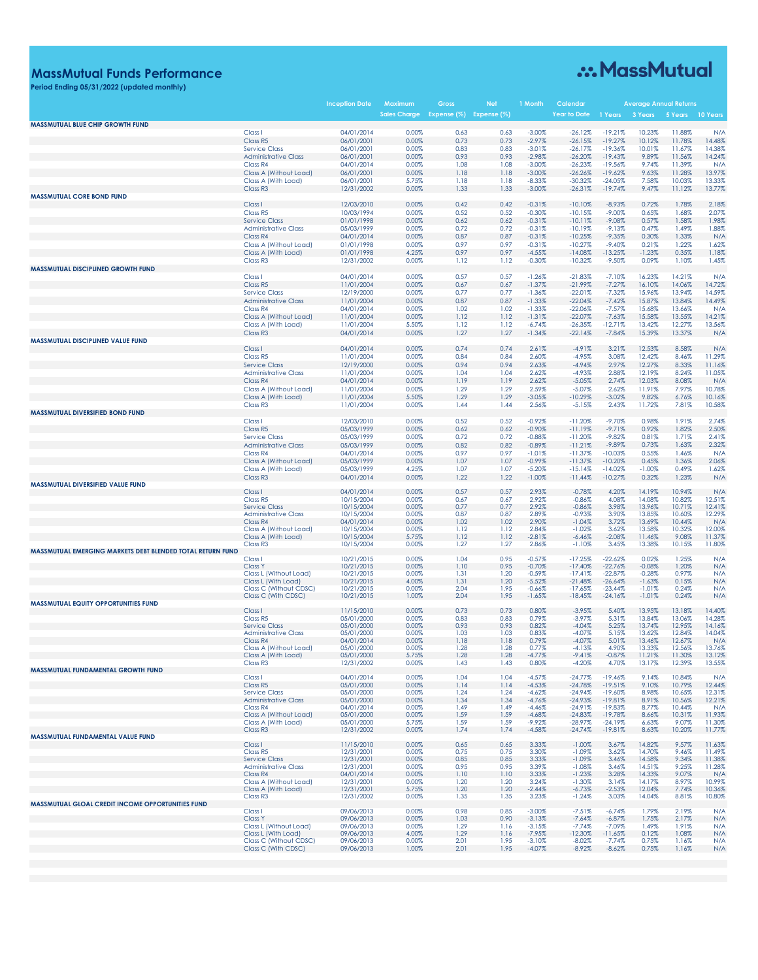### **MassMutual Funds Performance**

### **Period Ending 05/31/2022 (updated monthly)**

# ... MassMutual

|                                                            |                                                     | Incepti <u>on Date</u>   | <u>Maximum</u>      | Gross                   |              | <b>Month</b>         |                        |                        |                      | Average Annual Returns |                  |
|------------------------------------------------------------|-----------------------------------------------------|--------------------------|---------------------|-------------------------|--------------|----------------------|------------------------|------------------------|----------------------|------------------------|------------------|
| <b>MASSMUTUAL BLUE CHIP GROWTH FUND</b>                    |                                                     |                          | <b>Sales Charge</b> | Expense (%) Expense (%) |              |                      | <b>Year to Date</b>    | 1 Years                | 3 Years              | 5 Years                | 10 Years         |
|                                                            | Class I                                             | 04/01/2014               | 0.00%               | 0.63                    | 0.63         | $-3.00%$             | $-26.12%$              | $-19.21%$              | 10.23%               | 11.88%                 | N/A              |
|                                                            | Class R5                                            | 06/01/2001               | 0.00%               | 0.73                    | 0.73         | $-2.97%$             | $-26.15%$              | $-19.27%$              | 10.12%               | 11.78%                 | 14.48%           |
|                                                            | <b>Service Class</b>                                | 06/01/2001               | 0.00%               | 0.83                    | 0.83         | $-3.01%$             | $-26.17%$              | $-19.36%$              | 10.01%               | 11.67%                 | 14.38%           |
|                                                            | <b>Administrative Class</b>                         | 06/01/2001               | 0.00%               | 0.93                    | 0.93         | $-2.98%$             | $-26.20%$              | $-19.43%$              | 9.89%                | 11.56%                 | 14.24%           |
|                                                            | Class R4<br>Class A (Without Load)                  | 04/01/2014<br>06/01/2001 | 0.00%<br>0.00%      | 1.08<br>1.18            | 1.08<br>1.18 | $-3.00%$<br>$-3.00%$ | $-26.23%$<br>$-26.26%$ | $-19.56%$<br>$-19.62%$ | 9.74%<br>9.63%       | 11.39%<br>11.28%       | N/A<br>13.97%    |
|                                                            | Class A (With Load)                                 | 06/01/2001               | 5.75%               | 1.18                    | 1.18         | $-8.33%$             | $-30.32%$              | $-24.05%$              | 7.58%                | 10.03%                 | 13.33%           |
|                                                            | Class R <sub>3</sub>                                | 12/31/2002               | 0.00%               | 1.33                    | 1.33         | $-3.00%$             | $-26.31%$              | $-19.74%$              | 9.47%                | 11.12%                 | 13.77%           |
| <b>MASSMUTUAL CORE BOND FUND</b>                           |                                                     |                          |                     |                         |              |                      |                        |                        |                      |                        |                  |
|                                                            | Class I                                             | 12/03/2010               | 0.00%               | 0.42                    | 0.42         | $-0.31%$             | $-10.10%$              | $-8.93%$               | 0.72%                | 1.78%                  | 2.18%            |
|                                                            | Class R5                                            | 10/03/1994<br>01/01/1998 | 0.00%<br>0.00%      | 0.52<br>0.62            | 0.52<br>0.62 | $-0.30%$<br>$-0.31%$ | $-10.15%$<br>$-10.11%$ | $-9.00%$<br>$-9.08%$   | 0.65%<br>0.57%       | 1.68%<br>1.58%         | 2.07%<br>1.98%   |
|                                                            | <b>Service Class</b><br><b>Administrative Class</b> | 05/03/1999               | 0.00%               | 0.72                    | 0.72         | $-0.31%$             | $-10.19%$              | $-9.13%$               | 0.47%                | 1.49%                  | 1.88%            |
|                                                            | Class R4                                            | 04/01/2014               | 0.00%               | 0.87                    | 0.87         | $-0.31%$             | $-10.25%$              | $-9.35%$               | 0.30%                | 1.33%                  | N/A              |
|                                                            | Class A (Without Load)                              | 01/01/1998               | 0.00%               | 0.97                    | 0.97         | $-0.31%$             | $-10.27%$              | $-9.40%$               | 0.21%                | 1.22%                  | 1.62%            |
|                                                            | Class A (With Load)                                 | 01/01/1998               | 4.25%               | 0.97                    | 0.97         | $-4.55%$             | $-14.08%$              | $-13.25%$              | $-1.23%$             | 0.35%                  | 1.18%            |
| <b>MASSMUTUAL DISCIPLINED GROWTH FUND</b>                  | Class R <sub>3</sub>                                | 12/31/2002               | 0.00%               | 1.12                    | 1.12         | $-0.30%$             | $-10.32%$              | $-9.50%$               | 0.09%                | 1.10%                  | 1.45%            |
|                                                            | Class I                                             | 04/01/2014               | 0.00%               | 0.57                    | 0.57         | $-1.26%$             | $-21.83%$              | $-7.10%$               | 16.23%               | 14.21%                 | N/A              |
|                                                            | Class R5                                            | 11/01/2004               | 0.00%               | 0.67                    | 0.67         | $-1.37%$             | $-21.99%$              | $-7.27%$               | 16.10%               | 14.06%                 | 14.72%           |
|                                                            | <b>Service Class</b>                                | 12/19/2000               | 0.00%               | 0.77                    | 0.77         | $-1.36%$             | $-22.01%$              | $-7.32%$               | 15.96%               | 13.94%                 | 14.59%           |
|                                                            | <b>Administrative Class</b>                         | 11/01/2004               | 0.00%               | 0.87                    | 0.87         | $-1.33%$             | $-22.04%$              | $-7.42%$               | 15.87%               | 13.84%                 | 14.49%           |
|                                                            | Class R4                                            | 04/01/2014               | 0.00%               | 1.02                    | 1.02         | $-1.33%$             | $-22.06%$              | $-7.57%$               | 15.68%               | 13.66%                 | N/A              |
|                                                            | Class A (Without Load)                              | 11/01/2004               | 0.00%               | 1.12                    | 1.12         | $-1.31%$             | $-22.07%$              | $-7.63%$               | 15.58%               | 13.55%                 | 14.21%           |
|                                                            | Class A (With Load)<br>Class R <sub>3</sub>         | 11/01/2004<br>04/01/2014 | 5.50%<br>0.00%      | 1.12<br>1.27            | 1.12<br>1.27 | $-6.74%$<br>$-1.34%$ | $-26.35%$<br>$-22.14%$ | $-12.71%$<br>$-7.84%$  | 13.42%<br>15.39%     | 12.27%<br>13.37%       | 13.56%<br>N/A    |
| <b>MASSMUTUAL DISCIPLINED VALUE FUND</b>                   |                                                     |                          |                     |                         |              |                      |                        |                        |                      |                        |                  |
|                                                            | Class I                                             | 04/01/2014               | 0.00%               | 0.74                    | 0.74         | 2.61%                | $-4.91%$               | 3.21%                  | 12.53%               | 8.58%                  | N/A              |
|                                                            | Class R5                                            | 11/01/2004               | 0.00%               | 0.84                    | 0.84         | 2.60%                | $-4.95%$               | 3.08%                  | 12.42%               | 8.46%                  | 11.29%           |
|                                                            | <b>Service Class</b><br><b>Administrative Class</b> | 12/19/2000<br>11/01/2004 | 0.00%<br>0.00%      | 0.94<br>1.04            | 0.94<br>1.04 | 2.63%<br>2.62%       | $-4.94%$<br>$-4.93%$   | 2.97%<br>2.88%         | 12.27%<br>12.19%     | 8.33%<br>8.24%         | 11.16%<br>11.05% |
|                                                            | Class R4                                            | 04/01/2014               | 0.00%               | 1.19                    | 1.19         | 2.62%                | $-5.05%$               | 2.74%                  | 12.03%               | 8.08%                  | N/A              |
|                                                            | Class A (Without Load)                              | 11/01/2004               | 0.00%               | 1.29                    | 1.29         | 2.59%                | $-5.07%$               | 2.62%                  | 11.91%               | 7.97%                  | 10.78%           |
|                                                            | Class A (With Load)                                 | 11/01/2004               | 5.50%               | 1.29                    | 1.29         | $-3.05%$             | $-10.29%$              | $-3.02%$               | 9.82%                | 6.76%                  | 10.16%           |
|                                                            | Class R <sub>3</sub>                                | 11/01/2004               | 0.00%               | 1.44                    | 1.44         | 2.56%                | $-5.15%$               | 2.43%                  | 11.72%               | 7.81%                  | 10.58%           |
| MASSMUTUAL DIVERSIFIED BOND FUND                           | Class I                                             | 12/03/2010               | 0.00%               | 0.52                    | 0.52         | $-0.92%$             | $-11.20%$              | $-9.70%$               | 0.98%                | 1.91%                  | 2.74%            |
|                                                            | Class R5                                            | 05/03/1999               | 0.00%               | 0.62                    | 0.62         | $-0.90%$             | $-11.19%$              | $-9.71%$               | 0.92%                | 1.82%                  | 2.50%            |
|                                                            | <b>Service Class</b>                                | 05/03/1999               | 0.00%               | 0.72                    | 0.72         | $-0.88%$             | $-11.20%$              | $-9.82%$               | 0.81%                | 1.71%                  | 2.41%            |
|                                                            | <b>Administrative Class</b>                         | 05/03/1999               | 0.00%               | 0.82                    | 0.82         | $-0.89%$             | $-11.21%$              | $-9.89%$               | 0.73%                | 1.63%                  | 2.32%            |
|                                                            | Class R4                                            | 04/01/2014               | 0.00%               | 0.97                    | 0.97         | $-1.01%$             | $-11.37%$              | $-10.03%$              | 0.55%                | 1.46%                  | N/A              |
|                                                            | Class A (Without Load)<br>Class A (With Load)       | 05/03/1999<br>05/03/1999 | 0.00%<br>4.25%      | 1.07<br>1.07            | 1.07<br>1.07 | $-0.99%$<br>$-5.20%$ | $-11.37%$<br>$-15.14%$ | $-10.20%$<br>$-14.02%$ | 0.45%<br>$-1.00%$    | 1.36%<br>0.49%         | 2.06%<br>1.62%   |
|                                                            | Class R <sub>3</sub>                                | 04/01/2014               | 0.00%               | 1.22                    | 1.22         | $-1.00%$             | $-11.44%$              | $-10.27%$              | 0.32%                | 1.23%                  | N/A              |
| MASSMUTUAL DIVERSIFIED VALUE FUND                          |                                                     |                          |                     |                         |              |                      |                        |                        |                      |                        |                  |
|                                                            | Class I                                             | 04/01/2014               | 0.00%               | 0.57                    | 0.57         | 2.93%                | $-0.78%$               | 4.20%                  | 14.19%               | 10.94%                 | N/A              |
|                                                            | Class R5<br><b>Service Class</b>                    | 10/15/2004<br>10/15/2004 | 0.00%<br>0.00%      | 0.67<br>0.77            | 0.67<br>0.77 | 2.92%<br>2.92%       | $-0.86%$<br>$-0.86%$   | 4.08%<br>3.98%         | 14.08%<br>13.96%     | 10.82%<br>10.71%       | 12.51%<br>12.41% |
|                                                            | <b>Administrative Class</b>                         | 10/15/2004               | 0.00%               | 0.87                    | 0.87         | 2.89%                | $-0.93%$               | 3.90%                  | 13.85%               | 10.60%                 | 12.29%           |
|                                                            | Class R4                                            | 04/01/2014               | 0.00%               | 1.02                    | 1.02         | 2.90%                | $-1.04%$               | 3.72%                  | 13.69%               | 10.44%                 | N/A              |
|                                                            | Class A (Without Load)                              | 10/15/2004               | 0.00%               | 1.12                    | 1.12         | 2.84%                | $-1.02%$               | 3.62%                  | 13.58%               | 10.32%                 | 12.00%           |
|                                                            | Class A (With Load)<br>Class R <sub>3</sub>         | 10/15/2004<br>10/15/2004 | 5.75%<br>0.00%      | 1.12<br>1.27            | 1.12<br>1.27 | $-2.81%$<br>2.86%    | $-6.46%$<br>$-1.10%$   | $-2.08%$<br>3.45%      | 11.46%<br>13.38%     | 9.08%<br>10.15%        | 11.37%<br>11.80% |
| MASSMUTUAL EMERGING MARKETS DEBT BLENDED TOTAL RETURN FUND |                                                     |                          |                     |                         |              |                      |                        |                        |                      |                        |                  |
|                                                            | Class I                                             | 10/21/2015               | 0.00%               | 1.04                    | 0.95         | $-0.57%$             | $-17.25%$              | $-22.62%$              | 0.02%                | 1.25%                  | N/A              |
|                                                            | <b>Class Y</b><br>Class L (Without Load)            | 10/21/2015<br>10/21/2015 | 0.00%<br>0.00%      | 1.10<br>1.31            | 0.95<br>1.20 | $-0.70%$<br>$-0.59%$ | $-17.40%$<br>$-17.41%$ | $-22.76%$<br>$-22.87%$ | $-0.08%$<br>$-0.28%$ | 1.20%<br>0.97%         | N/A<br>N/A       |
|                                                            | Class L (With Load)                                 | 10/21/2015               | 4.00%               | 1.31                    | 1.20         | $-5.52%$             | $-21.48%$              | $-26.64%$              | $-1.63%$             | 0.15%                  | N/A              |
|                                                            | Class C (Without CDSC)                              | 10/21/2015               | 0.00%               | 2.04                    | 1.95         | $-0.66%$             | $-17.65%$              | $-23.44%$              | $-1.01%$             | 0.24%                  | N/A              |
| <b>MASSMUTUAL EQUITY OPPORTUNITIES FUND</b>                | Class C (With CDSC)                                 | 10/21/2015               | 1.00%               | 2.04                    | 1.95         | $-1.65%$             | $-18.45%$              | $-24.16%$              | $-1.01%$             | 0.24%                  | N/A              |
|                                                            | Class I                                             | 11/15/2010               | 0.00%               | 0.73                    | 0.73         | 0.80%                | $-3.95%$               | 5.40%                  | 13.95%               | 13.18%                 | 14.40%           |
|                                                            | Class R5                                            | 05/01/2000               | 0.00%               | 0.83                    | 0.83         | 0.79%                | $-3.97%$               | 5.31%                  | 13.84%               | 13.06%                 | 14.28%           |
|                                                            | <b>Service Class</b>                                | 05/01/2000               | 0.00%               | 0.93                    | 0.93         | 0.82%                | $-4.04%$               | 5.25%                  | 13.74%               | 12.95%<br>12.84%       | 14.16%           |
|                                                            | <b>Administrative Class</b><br>Class R4             | 05/01/2000<br>04/01/2014 | 0.00%<br>0.00%      | 1.03<br>1.18            | 1.03<br>1.18 | 0.83%<br>0.79%       | $-4.07%$<br>$-4.07%$   | 5.15%<br>5.01%         | 13.62%<br>13.46%     | 12.67%                 | 14.04%<br>N/A    |
|                                                            | Class A (Without Load)                              | 05/01/2000               | 0.00%               | 1.28                    | 1.28         | 0.77%                | $-4.13%$               | 4.90%                  | 13.33%               | 12.56%                 | 13.76%           |
|                                                            | Class A (With Load)                                 | 05/01/2000               | 5.75%               | 1.28                    | 1.28         | $-4.77%$             | $-9.41%$               | $-0.87%$               | 11.21%               | 11.30%                 | 13.12%           |
| MASSMUTUAL FUNDAMENTAL GROWTH FUND                         | Class R <sub>3</sub>                                | 12/31/2002               | 0.00%               | 1.43                    | 1.43         | 0.80%                | $-4.20%$               | 4.70%                  | 13.17%               | 12.39%                 | 13.55%           |
|                                                            | Class I                                             | 04/01/2014               | 0.00%               | 1.04                    | 1.04         | $-4.57%$             | $-24.77%$              | $-19.46%$              | 9.14%                | 10.84%                 | N/A              |
|                                                            | Class R5                                            | 05/01/2000               | 0.00%               | 1.14                    | 1.14         | $-4.53%$             | $-24.78%$              | $-19.51%$              | 9.10%                | 10.79%                 | 12.44%           |
|                                                            | <b>Service Class</b>                                | 05/01/2000               | 0.00%<br>0.00%      | 1.24<br>1.34            | 1.24         | $-4.62%$             | $-24.94%$<br>$-24.93%$ | $-19.60%$              | 8.98%                | 10.65%<br>10.56%       | 12.31%           |
|                                                            | <b>Administrative Class</b><br>Class R4             | 05/01/2000<br>04/01/2014 | 0.00%               | 1.49                    | 1.34<br>1.49 | $-4.76%$<br>$-4.46%$ | $-24.91%$              | $-19.81%$<br>$-19.83%$ | 8.91%<br>8.77%       | 10.44%                 | 12.21%<br>N/A    |
|                                                            | Class A (Without Load)                              | 05/01/2000               | 0.00%               | 1.59                    | 1.59         | $-4.68%$             | $-24.83%$              | $-19.78%$              | 8.66%                | 10.31%                 | 11.93%           |
|                                                            | Class A (With Load)                                 | 05/01/2000               | 5.75%               | 1.59                    | 1.59         | $-9.92%$             | -28.97%                | -24.19%                | 6.63%                | 9.07%                  | 11.30%           |
| MASSMUTUAL FUNDAMENTAL VALUE FUND                          | Class R <sub>3</sub>                                | 12/31/2002               | 0.00%               | 1.74                    | 1.74         | $-4.58%$             | $-24.74%$              | $-19.81%$              | 8.63%                | 10.20%                 | 11.77%           |
|                                                            | Class I                                             | 11/15/2010               | 0.00%               | 0.65                    | 0.65         | 3.33%                | $-1.00%$               | 3.67%                  | 14.82%               | 9.57%                  | 11.63%           |
|                                                            | Class R5                                            | 12/31/2001               | 0.00%               | 0.75                    | 0.75         | 3.30%                | $-1.09%$               | 3.62%                  | 14.70%               | 9.46%                  | 11.49%           |
|                                                            | <b>Service Class</b><br><b>Administrative Class</b> | 12/31/2001<br>12/31/2001 | 0.00%<br>0.00%      | 0.85<br>0.95            | 0.85<br>0.95 | 3.33%<br>3.39%       | $-1.09%$<br>$-1.08%$   | 3.46%<br>3.46%         | 14.58%<br>14.51%     | 9.34%<br>9.25%         | 11.38%<br>11.28% |
|                                                            | Class R4                                            | 04/01/2014               | 0.00%               | 1.10                    | 1.10         | 3.33%                | $-1.23%$               | 3.28%                  | 14.33%               | 9.07%                  | N/A              |
|                                                            | Class A (Without Load)                              | 12/31/2001               | 0.00%               | 1.20                    | 1.20         | 3.24%                | $-1.30%$               | 3.14%                  | 14.17%               | 8.97%                  | 10.99%           |
|                                                            | Class A (With Load)                                 | 12/31/2001               | 5.75%               | 1.20                    | 1.20         | $-2.44%$             | $-6.73%$               | $-2.53%$               | 12.04%               | 7.74%                  | 10.36%           |
| MASSMUTUAL GLOAL CREDIT INCOME OPPORTUNITIES FUND          | Class R <sub>3</sub>                                | 12/31/2002               | 0.00%               | 1.35                    | 1.35         | 3.23%                | $-1.24%$               | 3.03%                  | 14.04%               | 8.81%                  | 10.80%           |
|                                                            | Class I                                             | 09/06/2013               | 0.00%               | 0.98                    | 0.85         | $-3.00%$             | $-7.51%$               | $-6.74%$               | 1.79%                | 2.19%                  | N/A              |
|                                                            | <b>Class Y</b>                                      | 09/06/2013               | 0.00%               | 1.03                    | 0.90         | $-3.13%$             | $-7.64%$               | $-6.87%$               | 1.75%                | 2.17%                  | N/A              |
|                                                            | Class L (Without Load)<br>Class L (With Load)       | 09/06/2013<br>09/06/2013 | 0.00%<br>4.00%      | 1.29<br>1.29            | 1.16<br>1.16 | $-3.15%$<br>$-7.95%$ | $-7.74%$<br>$-12.30\%$ | $-7.09%$<br>-11.65%    | 1.49%<br>0.12%       | 1.91%<br>1.08%         | N/A<br>N/A       |
|                                                            | Class C (Without CDSC)                              | 09/06/2013               | 0.00%               | 2.01                    | 1.95         | $-3.10%$             | $-8.02%$               | $-7.74%$               | 0.75%                | 1.16%                  | N/A              |
|                                                            | Class C (With CDSC)                                 | 09/06/2013               | 1.00%               | 2.01                    | 1.95         | $-4.07%$             | $-8.92%$               | $-8.62%$               | 0.75%                | 1.16%                  | N/A              |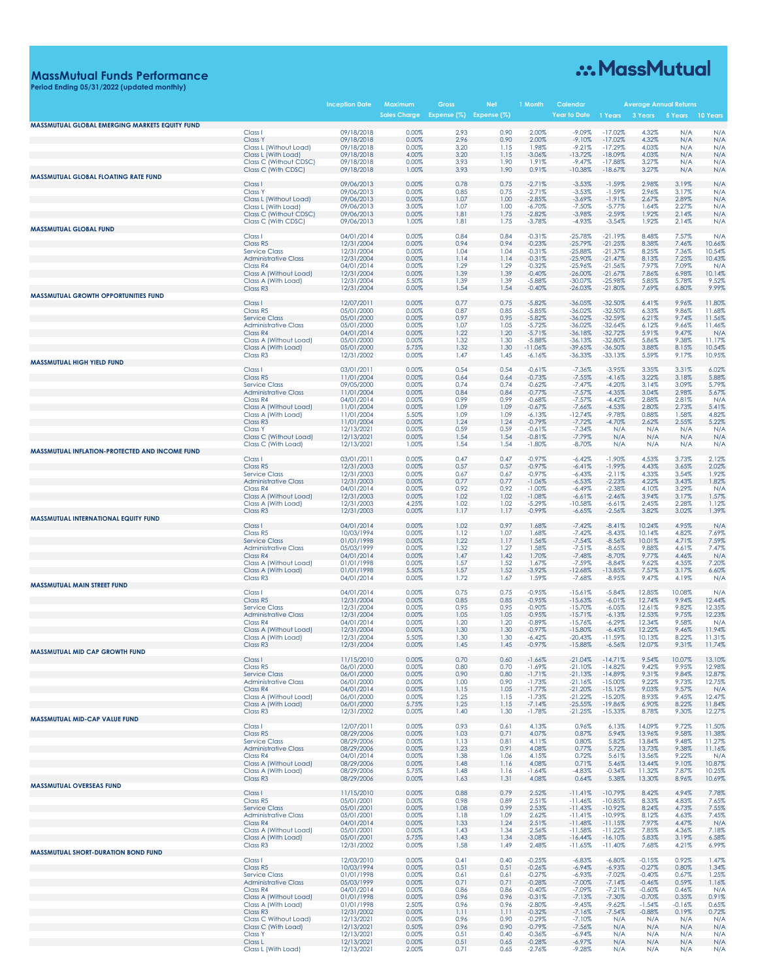## **MassMutual Funds Performance Period Ending 05/31/2022 (updated monthly)**

# ... MassMutual

|                                                |                                                     | Inception Date           | Maximum<br><b>Sales Charge</b> | Gross<br>Expense (%) Expense (%) |              | 1 Month              | Calendai<br><b>Year to Date</b> | 1 Years                | Average Annual Returns<br>3 Years | 5 Years         | 10 Years         |
|------------------------------------------------|-----------------------------------------------------|--------------------------|--------------------------------|----------------------------------|--------------|----------------------|---------------------------------|------------------------|-----------------------------------|-----------------|------------------|
| MASSMUTUAL GLOBAL EMERGING MARKETS EQUITY FUND | Class <sub>1</sub>                                  | 09/18/2018               | 0.00%                          | 2.93                             | 0.90         | 2.00%                | $-9.09%$                        | $-17.02%$              | 4.32%                             | N/A             | N/A              |
|                                                | <b>Class Y</b>                                      | 09/18/2018               | 0.00%                          | 2.96                             | 0.90         | 2.00%                | $-9.10%$                        | $-17.02%$              | 4.32%                             | N/A             | N/A              |
|                                                | Class L (Without Load)<br>Class L (With Load)       | 09/18/2018<br>09/18/2018 | 0.00%<br>4.00%                 | 3.20<br>3.20                     | 1.15<br>1.15 | 1.98%<br>$-3.06%$    | $-9.21%$<br>$-13.72%$           | $-17.29%$<br>$-18.09%$ | 4.03%<br>4.03%                    | N/A<br>N/A      | N/A<br>N/A       |
|                                                | Class C (Without CDSC)                              | 09/18/2018               | 0.00%                          | 3.93                             | 1.90         | 1.91%                | $-9.47%$                        | $-17.88%$              | 3.27%                             | N/A             | N/A              |
| <b>MASSMUTUAL GLOBAL FLOATING RATE FUND</b>    | Class C (With CDSC)                                 | 09/18/2018               | 1.00%                          | 3.93                             | 1.90         | 0.91%                | $-10.38%$                       | $-18.67%$              | 3.27%                             | N/A             | N/A              |
|                                                | Class I                                             | 09/06/2013               | 0.00%                          | 0.78                             | 0.75         | $-2.71%$             | $-3.53%$                        | $-1.59%$               | 2.98%                             | 3.19%           | N/A              |
|                                                | <b>Class Y</b><br>Class L (Without Load)            | 09/06/2013<br>09/06/2013 | 0.00%<br>0.00%                 | 0.85<br>1.07                     | 0.75<br>1.00 | $-2.71%$<br>$-2.85%$ | $-3.53%$<br>$-3.69%$            | $-1.59%$<br>$-1.91%$   | 2.96%<br>2.67%                    | 3.17%<br>2.89%  | N/A<br>N/A       |
|                                                | Class L (With Load)                                 | 09/06/2013               | 3.00%                          | 1.07                             | 1.00         | $-6.70%$             | $-7.50%$                        | $-5.77%$               | 1.64%                             | 2.27%           | N/A              |
|                                                | Class C (Without CDSC)<br>Class C (With CDSC)       | 09/06/2013<br>09/06/2013 | 0.00%<br>1.00%                 | 1.81<br>1.81                     | 1.75<br>1.75 | $-2.82%$<br>$-3.78%$ | $-3.98%$<br>$-4.93%$            | $-2.59%$<br>$-3.54%$   | 1.92%<br>1.92%                    | 2.14%<br>2.14%  | N/A<br>N/A       |
| <b>MASSMUTUAL GLOBAL FUND</b>                  | Class I                                             | 04/01/2014               | 0.00%                          | 0.84                             | 0.84         | $-0.31%$             | $-25.78%$                       | $-21.19%$              | 8.48%                             | 7.57%           | N/A              |
|                                                | Class R5                                            | 12/31/2004               | 0.00%                          | 0.94                             | 0.94         | $-0.23%$             | $-25.79%$                       | $-21.25%$              | 8.38%                             | 7.46%           | 10.66%           |
|                                                | <b>Service Class</b><br><b>Administrative Class</b> | 12/31/2004<br>12/31/2004 | 0.00%<br>0.00%                 | 1.04<br>1.14                     | 1.04<br>1.14 | $-0.31%$<br>$-0.31%$ | $-25.88%$<br>$-25.90%$          | $-21.37%$<br>$-21.47%$ | 8.25%<br>8.13%                    | 7.36%<br>7.25%  | 10.54%<br>10.43% |
|                                                | Class R4                                            | 04/01/2014               | 0.00%                          | 1.29                             | 1.29         | $-0.32%$             | $-25.96%$                       | $-21.56%$              | 7.97%                             | 7.09%           | N/A              |
|                                                | Class A (Without Load)<br>Class A (With Load)       | 12/31/2004<br>12/31/2004 | 0.00%<br>5.50%                 | 1.39<br>1.39                     | 1.39<br>1.39 | $-0.40%$<br>$-5.88%$ | $-26.00%$<br>$-30.07%$          | $-21.67%$<br>$-25.98%$ | 7.86%<br>5.85%                    | 6.98%<br>5.78%  | 10.14%<br>9.52%  |
|                                                | Class R <sub>3</sub>                                | 12/31/2004               | 0.00%                          | 1.54                             | 1.54         | $-0.40%$             | $-26.03%$                       | $-21.80%$              | 7.69%                             | 6.80%           | 9.99%            |
| <b>MASSMUTUAL GROWTH OPPORTUNITIES FUND</b>    | Class I                                             | 12/07/2011               | 0.00%                          | 0.77                             | 0.75         | $-5.82%$             | $-36.05%$                       | $-32.50%$              | 6.41%                             | 9.96%           | 11.80%           |
|                                                | Class R5                                            | 05/01/2000               | 0.00%<br>0.00%                 | 0.87<br>0.97                     | 0.85<br>0.95 | $-5.85%$             | $-36.02%$<br>$-36.02%$          | $-32.50%$<br>$-32.59%$ | 6.33%<br>6.21%                    | 9.86%<br>9.74%  | 11.68%<br>11.56% |
|                                                | <b>Service Class</b><br><b>Administrative Class</b> | 05/01/2000<br>05/01/2000 | 0.00%                          | 1.07                             | 1.05         | $-5.82%$<br>$-5.72%$ | $-36.02%$                       | $-32.64%$              | 6.12%                             | 9.66%           | 11.46%           |
|                                                | Class R4<br>Class A (Without Load)                  | 04/01/2014<br>05/01/2000 | 0.00%<br>0.00%                 | 1.22<br>1.32                     | 1.20<br>1.30 | $-5.71%$<br>$-5.88%$ | $-36.18%$<br>$-36.13%$          | $-32.72%$<br>$-32.80%$ | 5.91%<br>5.86%                    | 9.47%<br>9.38%  | N/A<br>11.17%    |
|                                                | Class A (With Load)                                 | 05/01/2000               | 5.75%                          | 1.32                             | 1.30         | $-11.06%$            | $-39.65%$                       | $-36.50%$              | 3.88%                             | 8.15%           | 10.54%           |
| <b>MASSMUTUAL HIGH YIELD FUND</b>              | Class R <sub>3</sub>                                | 12/31/2002               | 0.00%                          | 1.47                             | 1.45         | $-6.16%$             | $-36.33%$                       | $-33.13%$              | 5.59%                             | 9.17%           | 10.95%           |
|                                                | Class I                                             | 03/01/2011               | 0.00%                          | 0.54                             | 0.54         | $-0.61%$             | $-7.36%$                        | $-3.95%$               | 3.35%                             | 3.31%           | 6.02%            |
|                                                | Class R5<br><b>Service Class</b>                    | 11/01/2004<br>09/05/2000 | 0.00%<br>0.00%                 | 0.64<br>0.74                     | 0.64<br>0.74 | $-0.73%$<br>$-0.62%$ | $-7.55%$<br>$-7.47%$            | $-4.16%$<br>$-4.20%$   | 3.22%<br>3.14%                    | 3.18%<br>3.09%  | 5.88%<br>5.79%   |
|                                                | <b>Administrative Class</b>                         | 11/01/2004               | 0.00%                          | 0.84                             | 0.84         | $-0.77%$             | $-7.57%$                        | $-4.35%$               | 3.04%                             | 2.98%           | 5.67%            |
|                                                | Class R4<br>Class A (Without Load)                  | 04/01/2014<br>11/01/2004 | 0.00%<br>0.00%                 | 0.99<br>1.09                     | 0.99<br>1.09 | $-0.68%$<br>$-0.67%$ | $-7.57%$<br>$-7.66%$            | $-4.42%$<br>$-4.53%$   | 2.88%<br>2.80%                    | 2.81%<br>2.73%  | N/A<br>5.41%     |
|                                                | Class A (With Load)                                 | 11/01/2004<br>11/01/2004 | 5.50%<br>0.00%                 | 1.09<br>1.24                     | 1.09<br>1.24 | $-6.13%$<br>$-0.79%$ | $-12.74%$<br>$-7.72%$           | $-9.78%$               | 0.88%                             | 1.58%<br>2.55%  | 4.82%<br>5.22%   |
|                                                | Class R <sub>3</sub><br><b>Class Y</b>              | 12/13/2021               | 0.00%                          | 0.59                             | 0.59         | $-0.61%$             | $-7.34%$                        | $-4.70%$<br>N/A        | 2.62%<br>N/A                      | N/A             | N/A              |
|                                                | Class C (Without Load)<br>Class C (With Load)       | 12/13/2021<br>12/13/2021 | 0.00%<br>1.00%                 | 1.54<br>1.54                     | 1.54<br>1.54 | $-0.81%$<br>$-1.80%$ | $-7.79%$<br>$-8.70%$            | N/A<br>N/A             | N/A<br>N/A                        | N/A<br>N/A      | N/A<br>N/A       |
| MASSMUTUAL INFLATION-PROTECTED AND INCOME FUND |                                                     |                          |                                |                                  |              |                      |                                 |                        |                                   |                 |                  |
|                                                | Class I<br>Class R5                                 | 03/01/2011<br>12/31/2003 | 0.00%<br>0.00%                 | 0.47<br>0.57                     | 0.47<br>0.57 | $-0.97%$<br>$-0.97%$ | $-6.42%$<br>$-6.41%$            | $-1.90%$<br>$-1.99%$   | 4.53%<br>4.43%                    | 3.73%<br>3.65%  | 2.12%<br>2.02%   |
|                                                | <b>Service Class</b>                                | 12/31/2003               | 0.00%                          | 0.67                             | 0.67         | $-0.97%$             | $-6.43%$                        | $-2.11%$               | 4.33%                             | 3.54%           | 1.92%            |
|                                                | <b>Administrative Class</b><br>Class R4             | 12/31/2003<br>04/01/2014 | 0.00%<br>0.00%                 | 0.77<br>0.92                     | 0.77<br>0.92 | $-1.06%$<br>$-1.00%$ | $-6.53%$<br>$-6.49%$            | $-2.23%$<br>$-2.38%$   | 4.22%<br>4.10%                    | 3.43%<br>3.29%  | 1.82%<br>N/A     |
|                                                | Class A (Without Load)                              | 12/31/2003               | 0.00%                          | 1.02                             | 1.02         | $-1.08%$             | $-6.61%$                        | $-2.46%$               | 3.94%                             | 3.17%           | 1.57%            |
|                                                | Class A (With Load)<br>Class R <sub>3</sub>         | 12/31/2003<br>12/31/2003 | 4.25%<br>0.00%                 | 1.02<br>1.17                     | 1.02<br>1.17 | $-5.29%$<br>$-0.99%$ | $-10.58%$<br>$-6.65%$           | $-6.61%$<br>$-2.56%$   | 2.45%<br>3.82%                    | 2.28%<br>3.02%  | 1.12%<br>1.39%   |
| MASSMUTUAL INTERNATIONAL EQUITY FUND           | Class I                                             | 04/01/2014               | 0.00%                          | 1.02                             | 0.97         | 1.68%                | $-7.42%$                        | $-8.41%$               | 10.24%                            | 4.95%           | N/A              |
|                                                | Class R5                                            | 10/03/1994               | 0.00%                          | 1.12                             | 1.07         | 1.68%                | $-7.42%$                        | $-8.43%$               | 10.14%                            | 4.82%           | 7.69%            |
|                                                | <b>Service Class</b><br><b>Administrative Class</b> | 01/01/1998<br>05/03/1999 | 0.00%<br>0.00%                 | 1.22<br>1.32                     | 1.17<br>1.27 | 1.56%<br>1.58%       | $-7.54%$<br>$-7.51%$            | $-8.56%$<br>$-8.65%$   | 10.01%<br>9.88%                   | 4.71%<br>4.61%  | 7.59%<br>7.47%   |
|                                                | Class R4                                            | 04/01/2014               | 0.00%                          | 1.47                             | 1.42         | 1.70%                | $-7.48%$                        | $-8.70%$               | 9.77%                             | 4.46%           | N/A              |
|                                                | Class A (Without Load)<br>Class A (With Load)       | 01/01/1998<br>01/01/1998 | 0.00%<br>5.50%                 | 1.57<br>1.57                     | 1.52<br>1.52 | 1.67%<br>$-3.92%$    | $-7.59%$<br>$-12.68%$           | $-8.84%$<br>$-13.85%$  | 9.62%<br>7.57%                    | 4.35%<br>3.17%  | 7.20%<br>6.60%   |
|                                                | Class R <sub>3</sub>                                | 04/01/2014               | 0.00%                          | 1.72                             | 1.67         | 1.59%                | $-7.68%$                        | $-8.95%$               | 9.47%                             | 4.19%           | N/A              |
| <b>MASSMUTUAL MAIN STREET FUND</b>             | Class I                                             | 04/01/2014               | 0.00%                          | 0.75                             | 0.75         | $-0.95%$             | $-15.61%$                       | $-5.84%$               | 12.85%                            | 10.08%          | N/A              |
|                                                | Class R5<br><b>Service Class</b>                    | 12/31/2004<br>12/31/2004 | 0.00%<br>0.00%                 | 0.85<br>0.95                     | 0.85<br>0.95 | $-0.95%$<br>$-0.90%$ | $-15.63%$<br>$-15.70%$          | $-6.01%$<br>$-6.05%$   | 12.74%<br>12.61%                  | 9.94%<br>9.82%  | 12.44%<br>12.35% |
|                                                | <b>Administrative Class</b>                         | 12/31/2004               | 0.00%                          | 1.05                             | 1.05         | $-0.95%$             | $-15.71%$                       | $-6.13%$               | 12.53%                            | 9.75%           | 12.23%           |
|                                                | Class R4<br>Class A (Without Load)                  | 04/01/2014<br>12/31/2004 | 0.00%<br>0.00%                 | 1.20<br>1.30                     | 1.20<br>1.30 | $-0.89%$<br>$-0.97%$ | $-15.76%$<br>$-15.80%$          | $-6.29%$<br>$-6.45%$   | 12.34%<br>12.22%                  | 9.58%<br>9.46%  | N/A<br>11.94%    |
|                                                | Class A (With Load)                                 | 12/31/2004               | 5.50%                          | 1.30                             | 1.30         | $-6.42%$             | $-20.43%$                       | $-11.59%$              | 10.13%                            | 8.22%           | 11.31%           |
| <b>MASSMUTUAL MID CAP GROWTH FUND</b>          | Class R <sub>3</sub>                                | 12/31/2004               | 0.00%                          | 1.45                             | 1.45         | $-0.97%$             | $-15.88%$                       | $-6.56%$               | 12.07%                            | 9.31%           | 11.74%           |
|                                                | Class<br>Class R5                                   | 11/15/2010               | $0.00\%$<br>0.00%              | 0.70<br>0.80                     | 0.60<br>0.70 | -1.66%<br>$-1.69%$   | -21.04%<br>$-21.10%$            | -14.71%<br>$-14.82%$   | 9.54%<br>9.42%                    | 10.07%<br>9.95% | 13.10%<br>12.98% |
|                                                | <b>Service Class</b>                                | 06/01/2000<br>06/01/2000 | 0.00%                          | 0.90                             | 0.80         | $-1.71%$             | $-21.13%$                       | $-14.89%$              | 9.31%                             | 9.84%           | 12.87%           |
|                                                | <b>Administrative Class</b><br>Class R4             | 06/01/2000<br>04/01/2014 | 0.00%<br>0.00%                 | 1.00<br>1.15                     | 0.90<br>1.05 | $-1.73%$<br>$-1.77%$ | $-21.16%$<br>$-21.20%$          | $-15.00%$<br>$-15.12%$ | 9.22%<br>9.03%                    | 9.73%<br>9.57%  | 12.75%<br>N/A    |
|                                                | Class A (Without Load)                              | 06/01/2000               | 0.00%                          | 1.25                             | 1.15         | $-1.73%$             | $-21.22%$                       | $-15.20%$              | 8.93%                             | 9.45%           | 12.47%           |
|                                                | Class A (With Load)<br>Class R <sub>3</sub>         | 06/01/2000<br>12/31/2002 | 5.75%<br>0.00%                 | 1.25<br>1.40                     | 1.15<br>1.30 | $-7.14%$<br>$-1.78%$ | $-25.55%$<br>$-21.25%$          | $-19.86%$<br>$-15.33%$ | 6.90%<br>8.78%                    | 8.22%<br>9.30%  | 11.84%<br>12.27% |
| MASSMUTUAL MID-CAP VALUE FUND                  |                                                     |                          |                                |                                  |              |                      |                                 |                        |                                   |                 |                  |
|                                                | Class I<br>Class R5                                 | 12/07/2011<br>08/29/2006 | 0.00%<br>0.00%                 | 0.93<br>1.03                     | 0.61<br>0.71 | 4.13%<br>4.07%       | 0.96%<br>0.87%                  | 6.13%<br>5.94%         | 14.09%<br>13.96%                  | 9.72%<br>9.58%  | 11.50%<br>11.38% |
|                                                | <b>Service Class</b>                                | 08/29/2006               | 0.00%                          | 1.13                             | 0.81         | 4.11%                | 0.80%                           | 5.82%                  | 13.84%                            | 9.48%           | 11.27%           |
|                                                | <b>Administrative Class</b><br>Class R4             | 08/29/2006<br>04/01/2014 | 0.00%<br>0.00%                 | 1.23<br>1.38                     | 0.91<br>1.06 | 4.08%<br>4.15%       | 0.77%<br>0.72%                  | 5.72%<br>5.61%         | 13.73%<br>13.56%                  | 9.38%<br>9.22%  | 11.16%<br>N/A    |
|                                                | Class A (Without Load)<br>Class A (With Load)       | 08/29/2006<br>08/29/2006 | 0.00%<br>5.75%                 | 1.48<br>1.48                     | 1.16<br>1.16 | 4.08%<br>$-1.64%$    | 0.71%<br>$-4.83%$               | 5.46%<br>$-0.34%$      | 13.44%<br>11.32%                  | 9.10%<br>7.87%  | 10.87%<br>10.25% |
|                                                | Class R <sub>3</sub>                                | 08/29/2006               | 0.00%                          | 1.63                             | 1.31         | 4.08%                | 0.64%                           | 5.38%                  | 13.30%                            | 8.96%           | 10.69%           |
| <b>MASSMUTUAL OVERSEAS FUND</b>                | Class I                                             | 11/15/2010               | 0.00%                          | 0.88                             | 0.79         | 2.52%                | $-11.41%$                       | $-10.79%$              | 8.42%                             | 4.94%           | 7.78%            |
|                                                | Class R5                                            | 05/01/2001               | 0.00%                          | 0.98                             | 0.89         | 2.51%                | $-11.46%$                       | $-10.85%$              | 8.33%                             | 4.83%           | 7.65%            |
|                                                | <b>Service Class</b><br><b>Administrative Class</b> | 05/01/2001<br>05/01/2001 | 0.00%<br>0.00%                 | 1.08<br>1.18                     | 0.99<br>1.09 | 2.53%<br>2.62%       | $-11.43%$<br>$-11.41%$          | $-10.92%$<br>$-10.99%$ | 8.24%<br>8.12%                    | 4.73%<br>4.63%  | 7.55%<br>7.45%   |
|                                                | Class R4                                            | 04/01/2014               | 0.00%                          | 1.33                             | 1.24         | 2.51%                | $-11.48%$                       | $-11.15%$              | 7.97%                             | 4.47%           | N/A              |
|                                                | Class A (Without Load)<br>Class A (With Load)       | 05/01/2001<br>05/01/2001 | 0.00%<br>5.75%                 | 1.43<br>1.43                     | 1.34<br>1.34 | 2.56%<br>$-3.08%$    | $-11.58%$<br>$-16.44%$          | $-11.22%$<br>$-16.10%$ | 7.85%<br>5.83%                    | 4.36%<br>3.19%  | 7.18%<br>6.58%   |
| <b>MASSMUTUAL SHORT-DURATION BOND FUND</b>     | Class R <sub>3</sub>                                | 12/31/2002               | 0.00%                          | 1.58                             | 1.49         | 2.48%                | $-11.65%$                       | $-11.40%$              | 7.68%                             | 4.21%           | 6.99%            |
|                                                | Class <sub>1</sub>                                  | 12/03/2010               | 0.00%                          | 0.41                             | 0.40         | $-0.25%$             | $-6.83%$                        | $-6.80%$               | $-0.15%$                          | 0.92%           | 1.47%            |
|                                                | Class R5<br><b>Service Class</b>                    | 10/03/1994<br>01/01/1998 | 0.00%<br>0.00%                 | 0.51<br>0.61                     | 0.51<br>0.61 | $-0.26%$<br>$-0.27%$ | $-6.94%$<br>$-6.93%$            | $-6.93%$<br>$-7.02%$   | $-0.27%$<br>$-0.40%$              | 0.80%<br>0.67%  | 1.34%<br>1.25%   |
|                                                | <b>Administrative Class</b>                         | 05/03/1999               | 0.00%                          | 0.71                             | 0.71         | $-0.28%$             | $-7.00%$                        | $-7.14%$               | $-0.46%$                          | 0.59%           | 1.16%            |
|                                                | Class R4<br>Class A (Without Load)                  | 04/01/2014<br>01/01/1998 | 0.00%<br>0.00%                 | 0.86<br>0.96                     | 0.86<br>0.96 | $-0.40%$<br>$-0.31%$ | $-7.09%$<br>$-7.13%$            | $-7.21%$<br>$-7.30%$   | $-0.60%$<br>$-0.70%$              | 0.46%<br>0.35%  | N/A<br>0.91%     |
|                                                | Class A (With Load)                                 | 01/01/1998               | 2.50%                          | 0.96                             | 0.96         | $-2.80%$             | $-9.45%$                        | $-9.62%$               | $-1.54%$                          | $-0.16%$        | 0.65%            |
|                                                | Class R <sub>3</sub><br>Class C Without Load)       | 12/31/2002<br>12/13/2021 | 0.00%<br>0.00%                 | 1.11<br>0.96                     | 1.11<br>0.90 | $-0.32%$<br>$-0.29%$ | $-7.16%$<br>$-7.10%$            | $-7.54%$<br>N/A        | $-0.88%$<br>N/A                   | 0.19%<br>N/A    | 0.72%<br>N/A     |
|                                                | Class C (With Load)<br><b>Class Y</b>               | 12/13/2021<br>12/13/2021 | 0.50%<br>0.00%                 | 0.96<br>0.51                     | 0.90<br>0.40 | $-0.79%$<br>$-0.36%$ | $-7.56%$<br>$-6.94%$            | N/A<br>N/A             | N/A<br>N/A                        | N/A<br>N/A      | N/A<br>N/A       |
|                                                | Class L                                             | 12/13/2021               | 0.00%                          | 0.51                             | 0.65         | $-0.28%$             | $-6.97%$                        | N/A                    | N/A                               | N/A             | N/A              |
|                                                | Class L (With Load)                                 | 12/13/2021               | 2.00%                          | 0.71                             | 0.65         | $-2.76%$             | $-9.28%$                        | N/A                    | N/A                               | N/A             | N/A              |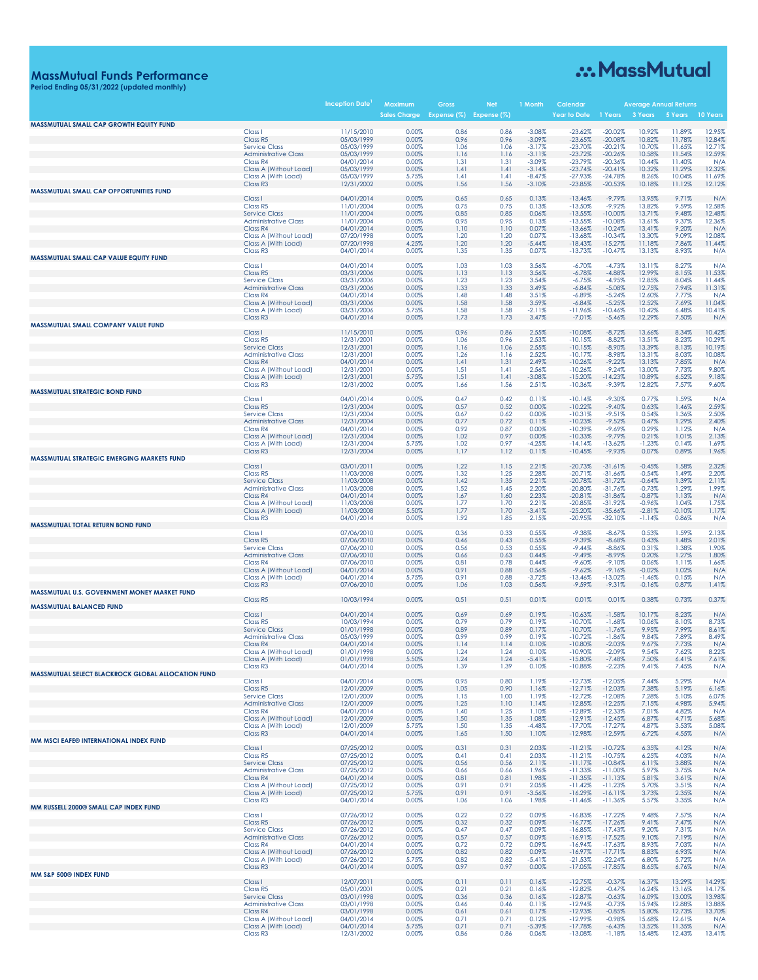# .:. MassMutual

## **MassMutual Funds Performance Period Ending 05/31/2022 (updated monthly)**

|                                                    |                                                     | <b>Inception Date</b>    | Maximum<br><b>Sales Charge</b> | Gross<br>Expense (%) Expense (%) | <b>Net</b>   | 1 Month              | Calendai<br>Year to Date | 1 Years                | 3 Years              | Average Annual Returns<br>5 Years | 10 Years         |
|----------------------------------------------------|-----------------------------------------------------|--------------------------|--------------------------------|----------------------------------|--------------|----------------------|--------------------------|------------------------|----------------------|-----------------------------------|------------------|
| MASSMUTUAL SMALL CAP GROWTH EQUITY FUND            | Class <sub>1</sub>                                  | 11/15/2010               | 0.00%                          | 0.86                             | 0.86         | $-3.08%$             | $-23.62%$                | $-20.02%$              | 10.92%               | 11.89%                            | 12.95%           |
|                                                    | Class R5                                            | 05/03/1999               | 0.00%                          | 0.96                             | 0.96         | $-3.09%$             | $-23.65%$                | $-20.08%$              | 10.82%               | 11.78%                            | 12.84%           |
|                                                    | <b>Service Class</b><br><b>Administrative Class</b> | 05/03/1999<br>05/03/1999 | 0.00%<br>0.00%                 | 1.06<br>1.16                     | 1.06<br>1.16 | $-3.17%$<br>$-3.11%$ | $-23.70%$<br>$-23.72%$   | $-20.21%$<br>$-20.26%$ | 10.70%<br>10.58%     | 11.65%<br>11.54%                  | 12.71%<br>12.59% |
|                                                    | Class R4                                            | 04/01/2014               | 0.00%                          | 1.31                             | 1.31         | $-3.09%$             | $-23.79%$                | $-20.36%$              | 10.44%               | 11.40%                            | N/A              |
|                                                    | Class A (Without Load)<br>Class A (With Load)       | 05/03/1999<br>05/03/1999 | 0.00%<br>5.75%                 | 1.41<br>1.41                     | 1.41<br>1.41 | $-3.14%$<br>$-8.47%$ | $-23.74%$<br>$-27.93%$   | $-20.41%$<br>$-24.78%$ | 10.32%<br>8.26%      | 11.29%<br>10.04%                  | 12.32%<br>11.69% |
|                                                    | Class R <sub>3</sub>                                | 12/31/2002               | 0.00%                          | 1.56                             | 1.56         | $-3.10%$             | $-23.85%$                | $-20.53%$              | 10.18%               | 11.12%                            | 12.12%           |
| <b>MASSMUTUAL SMALL CAP OPPORTUNITIES FUND</b>     | Class I                                             | 04/01/2014               | 0.00%                          | 0.65                             | 0.65         | 0.13%                | $-13.46%$                | $-9.79%$               | 13.95%               | 9.71%                             | N/A              |
|                                                    | Class R5<br><b>Service Class</b>                    | 11/01/2004<br>11/01/2004 | 0.00%<br>0.00%                 | 0.75<br>0.85                     | 0.75<br>0.85 | 0.13%<br>0.06%       | $-13.50%$<br>$-13.55%$   | $-9.92%$<br>$-10.00%$  | 13.82%<br>13.71%     | 9.59%<br>9.48%                    | 12.58%<br>12.48% |
|                                                    | <b>Administrative Class</b>                         | 11/01/2004               | 0.00%                          | 0.95                             | 0.95         | 0.13%                | $-13.55%$                | $-10.08%$              | 13.61%               | 9.37%                             | 12.36%           |
|                                                    | Class R4<br>Class A (Without Load)                  | 04/01/2014<br>07/20/1998 | 0.00%<br>0.00%                 | 1.10<br>1.20                     | 1.10<br>1.20 | 0.07%<br>0.07%       | $-13.66%$<br>$-13.68%$   | $-10.24%$<br>$-10.34%$ | 13.41%<br>13.30%     | 9.20%<br>9.09%                    | N/A<br>12.08%    |
|                                                    | Class A (With Load)                                 | 07/20/1998               | 4.25%                          | 1.20                             | 1.20         | $-5.44%$             | $-18.43%$                | $-15.27%$              | 11.18%               | 7.86%                             | 11.44%           |
| MASSMUTUAL SMALL CAP VALUE EQUITY FUND             | Class R <sub>3</sub>                                | 04/01/2014               | 0.00%                          | 1.35                             | 1.35         | 0.07%                | $-13.73%$                | $-10.47%$              | 13.13%               | 8.93%                             | N/A              |
|                                                    | Class <sub>1</sub>                                  | 04/01/2014               | 0.00%                          | 1.03                             | 1.03         | 3.56%                | $-6.70%$                 | $-4.73%$               | 13.11%               | 8.27%                             | N/A              |
|                                                    | Class R5<br><b>Service Class</b>                    | 03/31/2006<br>03/31/2006 | 0.00%<br>0.00%                 | 1.13<br>1.23                     | 1.13<br>1.23 | 3.56%<br>3.54%       | $-6.78%$<br>$-6.75%$     | $-4.88%$<br>$-4.95%$   | 12.99%<br>12.85%     | 8.15%<br>8.04%                    | 11.53%<br>11.44% |
|                                                    | <b>Administrative Class</b>                         | 03/31/2006               | 0.00%                          | 1.33                             | 1.33         | 3.49%                | $-6.84%$                 | $-5.08%$               | 12.75%               | 7.94%                             | 11.31%           |
|                                                    | Class R4<br>Class A (Without Load)                  | 04/01/2014<br>03/31/2006 | 0.00%<br>0.00%                 | 1.48<br>1.58                     | 1.48<br>1.58 | 3.51%<br>3.59%       | $-6.89%$<br>$-6.84%$     | $-5.24%$<br>$-5.25%$   | 12.60%<br>12.52%     | 7.77%<br>7.69%                    | N/A<br>11.04%    |
|                                                    | Class A (With Load)<br>Class R <sub>3</sub>         | 03/31/2006<br>04/01/2014 | 5.75%<br>0.00%                 | 1.58<br>1.73                     | 1.58<br>1.73 | $-2.11%$<br>3.47%    | $-11.96%$<br>$-7.01%$    | $-10.46%$<br>$-5.46%$  | 10.42%<br>12.29%     | 6.48%<br>7.50%                    | 10.41%<br>N/A    |
| MASSMUTUAL SMALL COMPANY VALUE FUND                |                                                     |                          |                                |                                  |              |                      |                          |                        |                      |                                   |                  |
|                                                    | Class I<br>Class R5                                 | 11/15/2010<br>12/31/2001 | 0.00%<br>0.00%                 | 0.96<br>1.06                     | 0.86<br>0.96 | 2.55%<br>2.53%       | $-10.08%$<br>$-10.15%$   | $-8.72%$<br>$-8.82%$   | 13.66%<br>13.51%     | 8.34%<br>8.23%                    | 10.42%<br>10.29% |
|                                                    | <b>Service Class</b>                                | 12/31/2001               | 0.00%                          | 1.16                             | 1.06         | 2.55%                | $-10.15%$                | $-8.90%$               | 13.39%               | 8.13%                             | 10.19%           |
|                                                    | <b>Administrative Class</b><br>Class R4             | 12/31/2001<br>04/01/2014 | 0.00%<br>0.00%                 | 1.26<br>1.41                     | 1.16<br>1.31 | 2.52%<br>2.49%       | $-10.17%$<br>$-10.26%$   | $-8.98%$<br>$-9.22%$   | 13.31%<br>13.13%     | 8.03%<br>7.85%                    | 10.08%<br>N/A    |
|                                                    | Class A (Without Load)                              | 12/31/2001               | 0.00%                          | 1.51                             | 1.41         | 2.56%                | $-10.26%$                | $-9.24%$               | 13.00%               | 7.73%                             | 9.80%            |
|                                                    | Class A (With Load)<br>Class R <sub>3</sub>         | 12/31/2001<br>12/31/2002 | 5.75%<br>0.00%                 | 1.51<br>1.66                     | 1.41<br>1.56 | $-3.08%$<br>2.51%    | $-15.20%$<br>$-10.36%$   | $-14.23%$<br>$-9.39%$  | 10.89%<br>12.82%     | 6.52%<br>7.57%                    | 9.18%<br>9.60%   |
| <b>MASSMUTUAL STRATEGIC BOND FUND</b>              |                                                     |                          |                                |                                  |              |                      |                          |                        |                      |                                   |                  |
|                                                    | Class <sub>1</sub><br>Class R5                      | 04/01/2014<br>12/31/2004 | 0.00%<br>0.00%                 | 0.47<br>0.57                     | 0.42<br>0.52 | 0.11%<br>0.00%       | $-10.14%$<br>$-10.22%$   | $-9.30%$<br>$-9.40%$   | 0.77%<br>0.63%       | 1.59%<br>1.46%                    | N/A<br>2.59%     |
|                                                    | <b>Service Class</b>                                | 12/31/2004               | 0.00%                          | 0.67                             | 0.62         | 0.00%                | $-10.31%$                | $-9.51%$               | 0.54%                | 1.36%                             | 2.50%            |
|                                                    | <b>Administrative Class</b><br>Class R4             | 12/31/2004<br>04/01/2014 | 0.00%<br>0.00%                 | 0.77<br>0.92                     | 0.72<br>0.87 | 0.11%<br>0.00%       | $-10.23%$<br>$-10.39%$   | $-9.52%$<br>$-9.69%$   | 0.47%<br>0.29%       | 1.29%<br>1.12%                    | 2.40%<br>N/A     |
|                                                    | Class A (Without Load)                              | 12/31/2004               | 0.00%                          | 1.02                             | 0.97         | 0.00%                | $-10.33%$                | $-9.79%$               | 0.21%                | 1.01%                             | 2.13%            |
|                                                    | Class A (With Load)<br>Class R <sub>3</sub>         | 12/31/2004<br>12/31/2004 | 5.75%<br>0.00%                 | 1.02<br>1.17                     | 0.97<br>1.12 | $-4.25%$<br>0.11%    | $-14.14%$<br>$-10.45%$   | $-13.62%$<br>$-9.93%$  | $-1.23%$<br>0.07%    | 0.14%<br>0.89%                    | 1.69%<br>1.96%   |
| <b>MASSMUTUAL STRATEGIC EMERGING MARKETS FUND</b>  |                                                     |                          |                                |                                  |              |                      |                          |                        |                      |                                   |                  |
|                                                    | Class I<br>Class R5                                 | 03/01/2011<br>11/03/2008 | 0.00%<br>0.00%                 | 1.22<br>1.32                     | 1.15<br>1.25 | 2.21%<br>2.28%       | $-20.73%$<br>$-20.71%$   | $-31.61%$<br>$-31.66%$ | $-0.45%$<br>$-0.54%$ | 1.58%<br>1.49%                    | 2.32%<br>2.20%   |
|                                                    | <b>Service Class</b><br><b>Administrative Class</b> | 11/03/2008<br>11/03/2008 | 0.00%<br>0.00%                 | 1.42<br>1.52                     | 1.35<br>1.45 | 2.21%<br>2.20%       | $-20.78%$<br>$-20.80%$   | $-31.72%$<br>$-31.76%$ | $-0.64%$<br>$-0.73%$ | 1.39%<br>1.29%                    | 2.11%<br>1.99%   |
|                                                    | Class R4                                            | 04/01/2014               | 0.00%                          | 1.67                             | 1.60         | 2.23%                | $-20.81%$                | $-31.86%$              | $-0.87%$             | 1.13%                             | N/A              |
|                                                    | Class A (Without Load)<br>Class A (With Load)       | 11/03/2008<br>11/03/2008 | 0.00%<br>5.50%                 | 1.77<br>1.77                     | 1.70<br>1.70 | 2.21%<br>$-3.41%$    | $-20.85%$<br>$-25.20%$   | $-31.92%$<br>$-35.66%$ | $-0.96%$<br>$-2.81%$ | 1.04%<br>$-0.10%$                 | 1.75%<br>1.17%   |
|                                                    | Class R <sub>3</sub>                                | 04/01/2014               | 0.00%                          | 1.92                             | 1.85         | 2.15%                | $-20.95%$                | $-32.10%$              | $-1.14%$             | 0.86%                             | N/A              |
| MASSMUTUAL TOTAL RETURN BOND FUND                  | Class I                                             | 07/06/2010               | 0.00%                          | 0.36                             | 0.33         | 0.55%                | $-9.38%$                 | $-8.67%$               | 0.53%                | 1.59%                             | 2.13%            |
|                                                    | Class R5                                            | 07/06/2010               | 0.00%                          | 0.46                             | 0.43         | 0.55%                | $-9.39%$                 | $-8.68%$               | 0.43%                | 1.48%                             | 2.01%            |
|                                                    | <b>Service Class</b><br><b>Administrative Class</b> | 07/06/2010<br>07/06/2010 | 0.00%<br>0.00%                 | 0.56<br>0.66                     | 0.53<br>0.63 | 0.55%<br>0.44%       | $-9.44%$<br>$-9.49%$     | $-8.86%$<br>$-8.99%$   | 0.31%<br>0.20%       | 1.38%<br>1.27%                    | 1.90%<br>1.80%   |
|                                                    | Class R4                                            | 07/06/2010               | 0.00%                          | 0.81                             | 0.78         | 0.44%                | $-9.60%$                 | $-9.10%$               | 0.06%                | 1.11%                             | 1.66%            |
|                                                    | Class A (Without Load)<br>Class A (With Load)       | 04/01/2014<br>04/01/2014 | 0.00%<br>5.75%                 | 0.91<br>0.91                     | 0.88<br>0.88 | 0.56%<br>$-3.72%$    | $-9.62%$<br>$-13.46%$    | $-9.16%$<br>$-13.02%$  | $-0.02%$<br>$-1.46%$ | 1.02%<br>0.15%                    | N/A<br>N/A       |
|                                                    | Class R <sub>3</sub>                                | 07/06/2010               | 0.00%                          | 1.06                             | 1.03         | 0.56%                | $-9.59%$                 | $-9.31%$               | $-0.16%$             | 0.87%                             | 1.41%            |
| MASSMUTUAL U.S. GOVERNMENT MONEY MARKET FUND       | Class R5                                            | 10/03/1994               | 0.00%                          | 0.51                             | 0.51         | 0.01%                | 0.01%                    | 0.01%                  | 0.38%                | 0.73%                             | 0.37%            |
| <b>MASSMUTUAL BALANCED FUND</b>                    | Class I                                             | 04/01/2014               | 0.00%                          | 0.69                             | 0.69         | 0.19%                | $-10.63%$                | $-1.58%$               | 10.17%               | 8.23%                             | N/A              |
|                                                    | Class R5                                            | 10/03/1994               | 0.00%                          | 0.79                             | 0.79         | 0.19%                | $-10.70%$                | $-1.68%$               | 10.06%               | 8.10%                             | 8.73%            |
|                                                    | <b>Service Class</b><br><b>Administrative Class</b> | 01/01/1998<br>05/03/1999 | 0.00%<br>0.00%                 | 0.89<br>0.99                     | 0.89<br>0.99 | 0.17%<br>0.19%       | $-10.70%$<br>$-10.72%$   | $-1.76%$<br>$-1.86%$   | 9.95%<br>9.84%       | 7.99%<br>7.89%                    | 8.61%<br>8.49%   |
|                                                    | Class R4                                            | 04/01/2014               | 0.00%                          | 1.14                             | 1.14         | 0.10%                | $-10.80%$                | $-2.03%$               | 9.67%                | 7.73%                             | N/A              |
|                                                    | Class A (Without Load)<br>Class A (With Load)       | 01/01/1998<br>01/01/1998 | 0.00%<br>5.50%                 | 1.24<br>1.24                     | 1.24<br>1.24 | 0.10%<br>$-5.41%$    | $-10.90%$<br>-15.80%     | $-2.09%$<br>$-7.48%$   | 9.54%<br>7.50%       | 7.62%<br>6.41%                    | 8.22%<br>7.61%   |
|                                                    | Class R <sub>3</sub>                                | 04/01/2014               | 0.00%                          | 1.39                             | 1.39         | 0.10%                | $-10.88%$                | $-2.23%$               | 9.41%                | 7.45%                             | N/A              |
| MASSMUTUAL SELECT BLACKROCK GLOBAL ALLOCATION FUND | Class I                                             | 04/01/2014               | 0.00%                          | 0.95                             | 0.80         | 1.19%                | $-12.73%$                | $-12.05%$              | 7.44%                | 5.29%                             | N/A              |
|                                                    | Class R5                                            | 12/01/2009               | 0.00%                          | 1.05                             | 0.90         | 1.16%                | $-12.71%$                | $-12.03%$              | 7.38%                | 5.19%                             | 6.16%            |
|                                                    | <b>Service Class</b><br><b>Administrative Class</b> | 12/01/2009<br>12/01/2009 | 0.00%<br>0.00%                 | 1.15<br>1.25                     | 1.00<br>1.10 | 1.19%<br>1.14%       | $-12.72%$<br>$-12.85%$   | $-12.08%$<br>$-12.25%$ | 7.28%<br>7.15%       | 5.10%<br>4.98%                    | 6.07%<br>5.94%   |
|                                                    | Class R4                                            | 04/01/2014<br>12/01/2009 | 0.00%<br>0.00%                 | 1.40<br>1.50                     | 1.25<br>1.35 | 1.10%<br>1.08%       | $-12.89%$<br>$-12.91%$   | $-12.33%$<br>$-12.45%$ | 7.01%<br>6.87%       | 4.82%<br>4.71%                    | N/A<br>5.68%     |
|                                                    | Class A (Without Load)<br>Class A (With Load)       | 12/01/2009               | 5.75%                          | 1.50                             | 1.35         | $-4.48%$             | $-17.70%$                | $-17.27%$              | 4.87%                | 3.53%                             | 5.08%            |
| MM MSCI EAFE® INTERNATIONAL INDEX FUND             | Class R <sub>3</sub>                                | 04/01/2014               | 0.00%                          | 1.65                             | 1.50         | 1.10%                | $-12.98%$                | $-12.59%$              | 6.72%                | 4.55%                             | N/A              |
|                                                    | Class I                                             | 07/25/2012               | 0.00%                          | 0.31                             | 0.31         | 2.03%                | $-11.21%$                | $-10.72%$              | 6.35%                | 4.12%                             | N/A              |
|                                                    | Class R5<br><b>Service Class</b>                    | 07/25/2012<br>07/25/2012 | 0.00%<br>0.00%                 | 0.41<br>0.56                     | 0.41<br>0.56 | 2.03%<br>2.11%       | $-11.21%$<br>$-11.17%$   | $-10.75%$<br>$-10.84%$ | 6.25%<br>6.11%       | 4.03%<br>3.88%                    | N/A<br>N/A       |
|                                                    | <b>Administrative Class</b>                         | 07/25/2012               | 0.00%                          | 0.66                             | 0.66         | 1.96%                | $-11.33%$                | $-11.00%$              | 5.97%                | 3.75%                             | N/A              |
|                                                    | Class R4<br>Class A (Without Load)                  | 04/01/2014<br>07/25/2012 | 0.00%<br>0.00%                 | 0.81<br>0.91                     | 0.81<br>0.91 | 1.98%<br>2.05%       | $-11.35%$<br>$-11.42%$   | $-11.13%$<br>$-11.23%$ | 5.81%<br>5.70%       | 3.61%<br>3.51%                    | N/A<br>N/A       |
|                                                    | Class A (With Load)                                 | 07/25/2012               | 5.75%                          | 0.91                             | 0.91         | $-3.56%$             | $-16.29%$                | $-16.11%$              | 3.73%                | 2.35%                             | N/A              |
| MM RUSSELL 2000® SMALL CAP INDEX FUND              | Class R <sub>3</sub>                                | 04/01/2014               | 0.00%                          | 1.06                             | 1.06         | 1.98%                | $-11.46%$                | $-11.36%$              | 5.57%                | 3.35%                             | N/A              |
|                                                    | Class I                                             | 07/26/2012               | 0.00%                          | 0.22                             | 0.22         | 0.09%                | $-16.83%$                | $-17.22%$              | 9.48%                | 7.57%                             | N/A              |
|                                                    | Class R5<br><b>Service Class</b>                    | 07/26/2012<br>07/26/2012 | 0.00%<br>0.00%                 | 0.32<br>0.47                     | 0.32<br>0.47 | 0.09%<br>0.09%       | $-16.77%$<br>$-16.85%$   | $-17.26%$<br>$-17.43%$ | 9.41%<br>9.20%       | 7.47%<br>7.31%                    | N/A<br>N/A       |
|                                                    | <b>Administrative Class</b>                         | 07/26/2012               | 0.00%                          | 0.57                             | 0.57         | 0.09%                | $-16.91%$                | $-17.52%$              | 9.10%                | 7.19%                             | N/A              |
|                                                    | Class R4<br>Class A (Without Load)                  | 04/01/2014<br>07/26/2012 | 0.00%<br>0.00%                 | 0.72<br>0.82                     | 0.72<br>0.82 | 0.09%<br>0.09%       | $-16.94%$<br>$-16.97%$   | $-17.63%$<br>$-17.71%$ | 8.93%<br>8.83%       | 7.03%<br>6.93%                    | N/A<br>N/A       |
|                                                    | Class A (With Load)                                 | 07/26/2012               | 5.75%                          | 0.82                             | 0.82         | $-5.41%$             | $-21.53%$                | $-22.24%$              | 6.80%                | 5.72%                             | N/A              |
| MM S&P 500® INDEX FUND                             | Class R <sub>3</sub>                                | 04/01/2014               | 0.00%                          | 0.97                             | 0.97         | 0.00%                | $-17.05%$                | $-17.85%$              | 8.65%                | 6.76%                             | N/A              |
|                                                    | Class I<br>Class R5                                 | 12/07/2011<br>05/01/2001 | 0.00%<br>0.00%                 | 0.11<br>0.21                     | 0.11<br>0.21 | 0.16%<br>0.16%       | $-12.75%$<br>$-12.82%$   | $-0.37%$<br>$-0.47%$   | 16.37%<br>16.24%     | 13.29%<br>13.16%                  | 14.29%<br>14.17% |
|                                                    | <b>Service Class</b>                                | 03/01/1998               | 0.00%                          | 0.36                             | 0.36         | 0.16%                | $-12.87%$                | $-0.63%$               | 16.09%               | 13.00%                            | 13.98%           |
|                                                    | <b>Administrative Class</b>                         | 03/01/1998               | 0.00%<br>0.00%                 | 0.46<br>0.61                     | 0.46<br>0.61 | 0.11%<br>0.17%       | $-12.94%$<br>$-12.93%$   | $-0.73%$<br>$-0.85%$   | 15.94%<br>15.80%     | 12.88%<br>12.73%                  | 13.88%<br>13.70% |
|                                                    | Class R4<br>Class A (Without Load)                  | 03/01/1998<br>04/01/2014 | 0.00%                          | 0.71                             | 0.71         | 0.12%                | $-12.99%$                | $-0.98%$               | 15.68%               | 12.61%                            | N/A              |
|                                                    | Class A (With Load)<br>Class R <sub>3</sub>         | 04/01/2014<br>12/31/2002 | 5.75%<br>0.00%                 | 0.71<br>0.86                     | 0.71<br>0.86 | $-5.39%$<br>0.06%    | $-17.78%$<br>$-13.08%$   | $-6.43%$<br>$-1.18%$   | 13.52%<br>15.48%     | 11.35%<br>12.43%                  | N/A<br>13.41%    |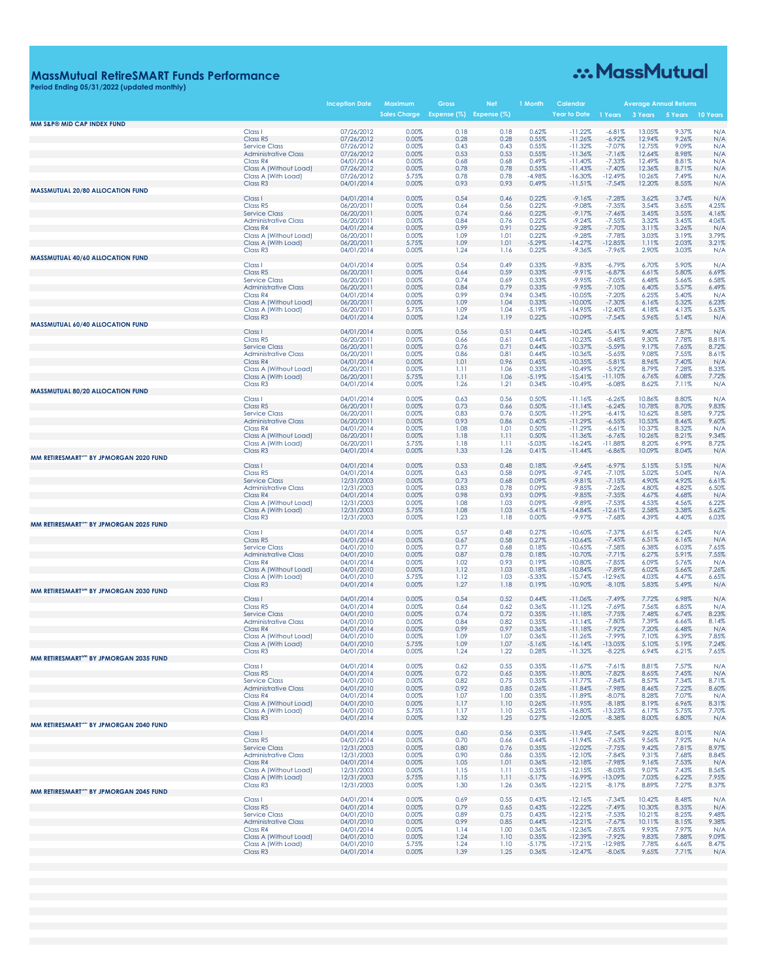## **MassMutual RetireSMART Funds Performance Period Ending 05/31/2022 (updated monthly)**

# ... MassMutual

|                                                    |                                                     | <b>Inception Date</b>    | Maximum             | Gross                   | <b>Ne</b>    | 1 Month           | Calendar               |                       |                  | <b>Average Annual Returns</b> |                |
|----------------------------------------------------|-----------------------------------------------------|--------------------------|---------------------|-------------------------|--------------|-------------------|------------------------|-----------------------|------------------|-------------------------------|----------------|
| MM S&P® MID CAP INDEX FUND                         |                                                     |                          | <b>Sales Charge</b> | Expense (%) Expense (%) |              |                   | Year to Date           | 1 Years               | 3 Years          | 5 Years                       | 10 Years       |
|                                                    | Class <sub>1</sub>                                  | 07/26/2012               | 0.00%               | 0.18                    | 0.18         | 0.62%             | $-11.22%$              | $-6.81%$              | 13.05%           | 9.37%                         | N/A            |
|                                                    | Class R5                                            | 07/26/2012               | 0.00%               | 0.28                    | 0.28         | 0.55%             | $-11.26%$              | $-6.92%$              | 12.94%           | 9.26%                         | N/A            |
|                                                    | <b>Service Class</b>                                | 07/26/2012               | 0.00%               | 0.43                    | 0.43         | 0.55%             | $-11.32%$              | $-7.07%$              | 12.75%           | 9.09%                         | N/A            |
|                                                    | <b>Administrative Class</b><br>Class R4             | 07/26/2012<br>04/01/2014 | 0.00%<br>0.00%      | 0.53<br>0.68            | 0.53<br>0.68 | 0.55%<br>0.49%    | $-11.36%$<br>$-11.40%$ | $-7.16%$<br>$-7.33%$  | 12.64%<br>12.49% | 8.98%<br>8.81%                | N/A<br>N/A     |
|                                                    | Class A (Without Load)                              | 07/26/2012               | 0.00%               | 0.78                    | 0.78         | 0.55%             | $-11.43%$              | $-7.40%$              | 12.36%           | 8.71%                         | N/A            |
|                                                    | Class A (With Load)                                 | 07/26/2012               | 5.75%               | 0.78                    | 0.78         | $-4.98%$          | $-16.30%$              | $-12.49%$             | 10.26%           | 7.49%                         | N/A            |
|                                                    | Class R <sub>3</sub>                                | 04/01/2014               | 0.00%               | 0.93                    | 0.93         | 0.49%             | $-11.51%$              | $-7.54%$              | 12.20%           | 8.55%                         | N/A            |
| <b>MASSMUTUAL 20/80 ALLOCATION FUND</b>            | Class I                                             | 04/01/2014               | 0.00%               | 0.54                    | 0.46         | 0.22%             | $-9.16%$               | $-7.28%$              | 3.62%            | 3.74%                         | N/A            |
|                                                    | Class R5                                            | 06/20/2011               | 0.00%               | 0.64                    | 0.56         | 0.22%             | $-9.08%$               | $-7.35%$              | 3.54%            | 3.65%                         | 4.25%          |
|                                                    | <b>Service Class</b>                                | 06/20/2011               | 0.00%               | 0.74                    | 0.66         | 0.22%             | $-9.17%$               | $-7.46%$              | 3.45%            | 3.55%                         | 4.16%          |
|                                                    | <b>Administrative Class</b>                         | 06/20/2011               | 0.00%               | 0.84                    | 0.76         | 0.22%             | $-9.24%$               | $-7.55%$              | 3.32%            | 3.45%                         | 4.06%          |
|                                                    | Class R4                                            | 04/01/2014               | 0.00%               | 0.99                    | 0.91         | 0.22%             | $-9.28%$               | $-7.70%$              | 3.11%            | 3.26%                         | N/A            |
|                                                    | Class A (Without Load)                              | 06/20/2011               | 0.00%               | 1.09                    | 1.01         | 0.22%             | $-9.28%$               | $-7.78%$              | 3.03%            | 3.19%                         | 3.79%          |
|                                                    | Class A (With Load)<br>Class R <sub>3</sub>         | 06/20/2011<br>04/01/2014 | 5.75%<br>0.00%      | 1.09<br>1.24            | 1.01<br>1.16 | $-5.29%$<br>0.22% | $-14.27%$<br>$-9.36%$  | 12.85%<br>$-7.96%$    | 1.11%<br>2.90%   | 2.03%<br>3.03%                | 3.21%<br>N/A   |
| <b>MASSMUTUAL 40/60 ALLOCATION FUND</b>            |                                                     |                          |                     |                         |              |                   |                        |                       |                  |                               |                |
|                                                    | Class I                                             | 04/01/2014               | 0.00%               | 0.54                    | 0.49         | 0.33%             | $-9.83%$               | $-6.79%$              | 6.70%            | 5.90%                         | N/A            |
|                                                    | Class R5                                            | 06/20/2011               | 0.00%               | 0.64                    | 0.59         | 0.33%             | $-9.91%$               | $-6.87%$              | 6.61%            | 5.80%                         | 6.69%          |
|                                                    | <b>Service Class</b><br><b>Administrative Class</b> | 06/20/2011               | 0.00%<br>0.00%      | 0.74<br>0.84            | 0.69<br>0.79 | 0.33%<br>0.33%    | $-9.95%$<br>$-9.95%$   | $-7.05%$<br>$-7.10%$  | 6.48%<br>6.40%   | 5.66%<br>5.57%                | 6.58%<br>6.49% |
|                                                    | Class R4                                            | 06/20/2011<br>04/01/2014 | 0.00%               | 0.99                    | 0.94         | 0.34%             | $-10.05%$              | $-7.20%$              | 6.25%            | 5.40%                         | N/A            |
|                                                    | Class A (Without Load)                              | 06/20/2011               | 0.00%               | 1.09                    | 1.04         | 0.33%             | $-10.00%$              | $-7.30%$              | 6.16%            | 5.32%                         | 6.23%          |
|                                                    | Class A (With Load)                                 | 06/20/2011               | 5.75%               | 1.09                    | 1.04         | $-5.19%$          | $-14.95%$              | $-12.40%$             | 4.18%            | 4.13%                         | 5.63%          |
|                                                    | Class R <sub>3</sub>                                | 04/01/2014               | 0.00%               | 1.24                    | 1.19         | 0.22%             | $-10.09%$              | $-7.54%$              | 5.96%            | 5.14%                         | N/A            |
| <b>MASSMUTUAL 60/40 ALLOCATION FUND</b>            | Class I                                             | 04/01/2014               | 0.00%               | 0.56                    | 0.51         | 0.44%             | $-10.24%$              | $-5.41%$              | 9.40%            | 7.87%                         | N/A            |
|                                                    | Class R5                                            | 06/20/2011               | 0.00%               | 0.66                    | 0.61         | 0.44%             | $-10.23%$              | $-5.48%$              | 9.30%            | 7.78%                         | 8.81%          |
|                                                    | <b>Service Class</b>                                | 06/20/2011               | 0.00%               | 0.76                    | 0.71         | 0.44%             | $-10.37%$              | $-5.59%$              | 9.17%            | 7.65%                         | 8.72%          |
|                                                    | <b>Administrative Class</b>                         | 06/20/2011               | 0.00%               | 0.86                    | 0.81         | 0.44%             | $-10.36%$              | $-5.65%$              | 9.08%            | 7.55%                         | 8.61%          |
|                                                    | Class R4                                            | 04/01/2014               | 0.00%               | 1.01                    | 0.96         | 0.45%             | $-10.35%$              | $-5.81%$              | 8.96%            | 7.40%                         | N/A            |
|                                                    | Class A (Without Load)                              | 06/20/2011               | 0.00%               | 1.11                    | 1.06         | 0.33%             | $-10.49%$              | $-5.92%$              | 8.79%            | 7.28%                         | 8.33%          |
|                                                    | Class A (With Load)<br>Class R <sub>3</sub>         | 06/20/2011<br>04/01/2014 | 5.75%<br>0.00%      | 1.11<br>1.26            | 1.06<br>1.21 | $-5.19%$<br>0.34% | $-15.41%$<br>$-10.49%$ | $-11.10%$<br>$-6.08%$ | 6.76%<br>8.62%   | 6.08%<br>7.11%                | 7.72%<br>N/A   |
| <b>MASSMUTUAL 80/20 ALLOCATION FUND</b>            |                                                     |                          |                     |                         |              |                   |                        |                       |                  |                               |                |
|                                                    | Class I                                             | 04/01/2014               | 0.00%               | 0.63                    | 0.56         | 0.50%             | $-11.16%$              | $-6.26%$              | 10.86%           | 8.80%                         | N/A            |
|                                                    | Class R5                                            | 06/20/2011               | 0.00%               | 0.73                    | 0.66         | 0.50%             | $-11.14%$              | $-6.24%$              | 10.78%           | 8.70%                         | 9.83%          |
|                                                    | <b>Service Class</b>                                | 06/20/2011               | 0.00%               | 0.83                    | 0.76         | 0.50%             | $-11.29%$              | $-6.41%$              | 10.62%           | 8.58%                         | 9.72%          |
|                                                    | <b>Administrative Class</b><br>Class R4             | 06/20/2011<br>04/01/2014 | 0.00%<br>0.00%      | 0.93<br>1.08            | 0.86<br>1.01 | 0.40%<br>0.50%    | $-11.29%$<br>$-11.29%$ | $-6.55%$<br>$-6.61%$  | 10.53%<br>10.37% | 8.46%<br>8.32%                | 9.60%<br>N/A   |
|                                                    | Class A (Without Load)                              | 06/20/2011               | 0.00%               | 1.18                    | 1.11         | 0.50%             | $-11.36%$              | $-6.76%$              | 10.26%           | 8.21%                         | 9.34%          |
|                                                    | Class A (With Load)                                 | 06/20/2011               | 5.75%               | 1.18                    | 1.11         | $-5.03%$          | $-16.24%$              | $-11.88%$             | 8.20%            | 6.99%                         | 8.72%          |
|                                                    | Class R <sub>3</sub>                                | 04/01/2014               | 0.00%               | 1.33                    | 1.26         | 0.41%             | $-11.44%$              | $-6.86%$              | 10.09%           | 8.04%                         | N/A            |
| MM RETIRESMART <sup>3M</sup> BY JPMORGAN 2020 FUND | Class <sub>1</sub>                                  | 04/01/2014               | 0.00%               | 0.53                    | 0.48         | 0.18%             | $-9.64%$               | $-6.97%$              | 5.15%            | 5.15%                         | N/A            |
|                                                    | Class R5                                            | 04/01/2014               | 0.00%               | 0.63                    | 0.58         | 0.09%             | $-9.74%$               | $-7.10%$              | 5.02%            | 5.04%                         | N/A            |
|                                                    | <b>Service Class</b>                                | 12/31/2003               | 0.00%               | 0.73                    | 0.68         | 0.09%             | $-9.81%$               | $-7.15%$              | 4.90%            | 4.92%                         | 6.61%          |
|                                                    | <b>Administrative Class</b>                         | 12/31/2003               | 0.00%               | 0.83                    | 0.78         | 0.09%             | $-9.85%$               | $-7.26%$              | 4.80%            | 4.82%                         | 6.50%          |
|                                                    | Class R4                                            | 04/01/2014               | 0.00%               | 0.98                    | 0.93         | 0.09%             | $-9.85%$               | $-7.35%$              | 4.67%            | 4.68%                         | N/A            |
|                                                    | Class A (Without Load)<br>Class A (With Load)       | 12/31/2003               | 0.00%<br>5.75%      | 1.08<br>1.08            | 1.03<br>1.03 | 0.09%<br>$-5.41%$ | $-9.89%$<br>$-14.84%$  | $-7.53%$<br>12.61%    | 4.53%<br>2.58%   | 4.56%<br>3.38%                | 6.22%<br>5.62% |
|                                                    | Class R <sub>3</sub>                                | 12/31/2003<br>12/31/2003 | 0.00%               | 1.23                    | 1.18         | 0.00%             | $-9.97%$               | $-7.68%$              | 4.39%            | 4.40%                         | 6.03%          |
| MM RETIRESMART <sup>3M</sup> BY JPMORGAN 2025 FUND |                                                     |                          |                     |                         |              |                   |                        |                       |                  |                               |                |
|                                                    | Class I                                             | 04/01/2014               | 0.00%               | 0.57                    | 0.48         | 0.27%             | $-10.60%$              | $-7.37%$              | 6.61%            | 6.24%                         | N/A            |
|                                                    | Class R5                                            | 04/01/2014               | 0.00%               | 0.67                    | 0.58         | 0.27%             | $-10.64%$              | $-7.45%$              | 6.51%            | 6.16%                         | N/A            |
|                                                    | <b>Service Class</b><br><b>Administrative Class</b> | 04/01/2010<br>04/01/2010 | 0.00%<br>0.00%      | 0.77<br>0.87            | 0.68<br>0.78 | 0.18%<br>0.18%    | $-10.65%$<br>$-10.70%$ | $-7.58%$<br>$-7.71%$  | 6.38%<br>6.27%   | 6.03%<br>5.91%                | 7.65%<br>7.55% |
|                                                    | Class R4                                            | 04/01/2014               | 0.00%               | 1.02                    | 0.93         | 0.19%             | $-10.80%$              | $-7.85%$              | 6.09%            | 5.76%                         | N/A            |
|                                                    | Class A (Without Load)                              | 04/01/2010               | 0.00%               | 1.12                    | 1.03         | 0.18%             | $-10.84%$              | $-7.89%$              | 6.02%            | 5.66%                         | 7.26%          |
|                                                    | Class A (With Load)                                 | 04/01/2010               | 5.75%               | 1.12                    | 1.03         | $-5.33%$          | $-15.74%$              | $-12.96%$             | 4.03%            | 4.47%                         | 6.65%          |
|                                                    | Class R <sub>3</sub>                                | 04/01/2014               | 0.00%               | 1.27                    | 1.18         | 0.19%             | $-10.90%$              | $-8.10%$              | 5.83%            | 5.49%                         | N/A            |
| MM RETIRESMART <sup>3M</sup> BY JPMORGAN 2030 FUND | Class <sub>1</sub>                                  | 04/01/2014               | 0.00%               | 0.54                    | 0.52         | 0.44%             | $-11.06%$              | $-7.49%$              | 7.72%            | 6.98%                         | N/A            |
|                                                    | Class R5                                            | 04/01/2014               | 0.00%               | 0.64                    | 0.62         | 0.36%             | $-11.12%$              | $-7.69%$              | 7.56%            | 6.85%                         | N/A            |
|                                                    | <b>Service Class</b>                                | 04/01/2010               | 0.00%               | 0.74                    | 0.72         | 0.35%             | $-11.18%$              | $-7.75%$              | 7.48%            | 6.74%                         | 8.23%          |
|                                                    | <b>Administrative Class</b>                         | 04/01/2010               | 0.00%               | 0.84                    | 0.82         | 0.35%             | $-11.14%$              | $-7.80%$              | 7.39%            | 6.66%                         | 8.14%          |
|                                                    | Class R4                                            | 04/01/2014               | 0.00%               | 0.99                    | 0.97         | 0.36%             | $-11.18%$              | $-7.92%$              | 7.20%            | 6.48%                         | N/A            |
|                                                    | Class A (Without Load)<br>Class A (With Load)       | 04/01/2010<br>04/01/2010 | 0.00%<br>5.75%      | 1.09<br>1.09            | 1.07<br>1.07 | 0.36%<br>$-5.16%$ | $-11.26%$<br>$-16.14%$ | $-7.99%$<br>13.05%    | 7.10%<br>5.10%   | 6.39%<br>5.19%                | 7.85%<br>7.24% |
|                                                    | Class R <sub>3</sub>                                | 04/01/2014               | 0.00%               | 1.24                    | 1.22         | 0.28%             | $-11.32%$              | $-8.22%$              | 6.94%            | 6.21%                         | 7.65%          |
| MM RETIRESMART <sup>3M</sup> BY JPMORGAN 2035 FUND |                                                     |                          |                     |                         |              |                   |                        |                       |                  |                               |                |
|                                                    | Class <sub>1</sub>                                  | 04/01/2014               | 0.00%               | 0.62                    | 0.55         | 0.35%             | $-11.67%$              | $-7.61%$              | 8.81%            | 7.57%                         | N/A            |
|                                                    | Class R5                                            | 04/01/2014               | 0.00%               | 0.72                    | 0.65         | 0.35%             | $-11.80%$              | $-7.82%$              | 8.65%            | 7.45%                         | N/A            |
|                                                    | <b>Service Class</b><br><b>Administrative Class</b> | 04/01/2010<br>04/01/2010 | 0.00%<br>0.00%      | 0.82<br>0.92            | 0.75<br>0.85 | 0.35%<br>0.26%    | $-11.77%$<br>$-11.84%$ | $-7.84%$<br>$-7.98%$  | 8.57%<br>8.46%   | 7.34%<br>7.22%                | 8.71%<br>8.60% |
|                                                    | Class R4                                            | 04/01/2014               | 0.00%               | 1.07                    | 1.00         | 0.35%             | $-11.89%$              | $-8.07%$              | 8.28%            | 7.07%                         | N/A            |
|                                                    | Class A (Without Load)                              | 04/01/2010               | 0.00%               | 1.17                    | 1.10         | 0.26%             | $-11.95%$              | $-8.18%$              | 8.19%            | 6.96%                         | 8.31%          |
|                                                    | Class A (With Load)                                 | 04/01/2010               | 5.75%               | 1.17                    | 1.10         | $-5.25%$          | $-16.80%$              | $-13.23%$             | 6.17%            | 5.75%                         | 7.70%          |
| MM RETIRESMART <sup>3M</sup> BY JPMORGAN 2040 FUND | Class R <sub>3</sub>                                | 04/01/2014               | 0.00%               | 1.32                    | 1.25         | 0.27%             | $-12.00%$              | $-8.38%$              | 8.00%            | 6.80%                         | N/A            |
|                                                    | Class I                                             | 04/01/2014               | 0.00%               | 0.60                    | 0.56         | 0.35%             | $-11.94%$              | $-7.54%$              | 9.62%            | 8.01%                         | N/A            |
|                                                    | Class R5                                            | 04/01/2014               | 0.00%               | 0.70                    | 0.66         | 0.44%             | $-11.94%$              | $-7.63%$              | 9.56%            | 7.92%                         | N/A            |
|                                                    | <b>Service Class</b>                                | 12/31/2003               | 0.00%               | 0.80                    | 0.76         | 0.35%             | $-12.02%$              | $-7.75%$              | 9.42%            | 7.81%                         | 8.97%          |
|                                                    | <b>Administrative Class</b>                         | 12/31/2003               | 0.00%               | 0.90                    | 0.86         | 0.35%             | $-12.10%$              | $-7.84%$              | 9.31%            | 7.68%                         | 8.84%          |
|                                                    | Class R4                                            | 04/01/2014               | 0.00%               | 1.05                    | 1.01         | 0.36%             | $-12.18%$              | $-7.98%$              | 9.16%            | 7.53%                         | N/A            |
|                                                    | Class A (Without Load)<br>Class A (With Load)       | 12/31/2003<br>12/31/2003 | 0.00%<br>5.75%      | 1.15<br>1.15            | 1.11<br>1.11 | 0.35%<br>$-5.17%$ | $-12.15%$<br>$-16.99%$ | $-8.03%$<br>13.09%    | 9.07%<br>7.03%   | 7.43%<br>6.22%                | 8.56%<br>7.95% |
|                                                    | Class R <sub>3</sub>                                | 12/31/2003               | 0.00%               | 1.30                    | 1.26         | 0.36%             | $-12.21%$              | $-8.17%$              | 8.89%            | 7.27%                         | 8.37%          |
| MM RETIRESMART <sup>3M</sup> BY JPMORGAN 2045 FUND |                                                     |                          |                     |                         |              |                   |                        |                       |                  |                               |                |
|                                                    | Class <sub>1</sub>                                  | 04/01/2014               | 0.00%               | 0.69                    | 0.55         | 0.43%             | $-12.16%$              | $-7.34%$              | 10.42%           | 8.48%                         | N/A            |
|                                                    | Class R5                                            | 04/01/2014               | 0.00%               | 0.79                    | 0.65         | 0.43%             | $-12.22%$              | $-7.49%$              | 10.30%           | 8.35%                         | N/A            |
|                                                    | <b>Service Class</b>                                | 04/01/2010               | 0.00%<br>0.00%      | 0.89<br>0.99            | 0.75<br>0.85 | 0.43%<br>0.44%    | $-12.21%$<br>$-12.21%$ | $-7.53%$<br>$-7.67%$  | 10.21%<br>10.11% | 8.25%<br>8.15%                | 9.48%<br>9.38% |
|                                                    | <b>Administrative Class</b><br>Class R4             | 04/01/2010<br>04/01/2014 | 0.00%               | 1.14                    | 1.00         | 0.36%             | $-12.36%$              | $-7.85%$              | 9.93%            | 7.97%                         | N/A            |
|                                                    | Class A (Without Load)                              | 04/01/2010               | 0.00%               | 1.24                    | 1.10         | 0.35%             | $-12.39%$              | $-7.92%$              | 9.83%            | 7.88%                         | 9.09%          |
|                                                    | Class A (With Load)                                 | 04/01/2010               | 5.75%               | 1.24                    | 1.10         | -5.17%            | $-17.21%$              | $-12.98%$             | 7.78%            | 6.66%                         | 8.47%          |
|                                                    | Class R <sub>3</sub>                                | 04/01/2014               | 0.00%               | 1.39                    | 1.25         | 0.36%             | $-12.47%$              | $-8.06%$              | 9.65%            | 7.71%                         | N/A            |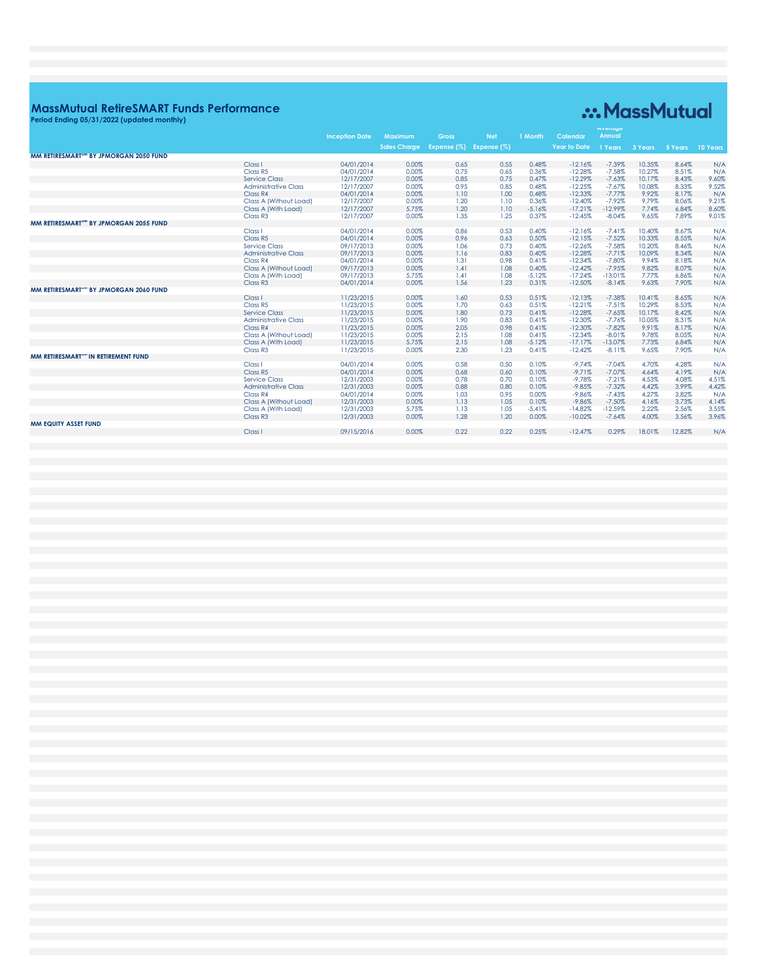### **MassMutual RetireSMART Funds Performance**

## .:. MassMutual

Period Ending 05/31/2022 (updated monthly) Average **Inception Date Year to Date** sales Charge Expense (%) Expense (%) MM RETIRESMART<sup>3™</sup> BY JPMORGAN 2050 FUND 04/01/2014 0.00% 0.65 0.55 0.48%  $-12.16%$  $-7.39%$ 10.35% 8.64%  $N/A$ Class I Class<br>
Class R5<br>
Service Class<br>
Administrative Class 04/01/2014  $0.00\%$  $0.75$ <br> $0.85$  $0.65$ <br>0.75 0.36%  $-12.28%$  $-7.58\%$ 10.27% 8.51%  $\frac{N/A}{9.60\%}$ 12/17/2007 0.00% 0.95 0.85 0.48%  $-12.25%$  $-7.67%$ 10.08% 8.33%  $9.52\%$ <br>N/A Class R4 04/01/2014 0.00%  $1.10$  $1.00$ 0.48%  $-12.33%$  $-7.77%$ 9.92% 8.17% Class A (Without Load)<br>Class A (With Load)<br>Class R3 9.21%<br>8.60%<br>9.01% 12/17/2007<br>12/17/2007 0.00%  $\frac{1.20}{1.20}$  $\frac{1.10}{1.10}$  $0.36\%$ -5.16%  $-12.40\%$ <br> $-17.21\%$  $-7.92\%$  $9.79%$ <br> $7.74%$ 8.06% 6.84% 1.35 12/17/2007 0.00% 1.25 0.37%  $-12.45%$  $-8.04%$ 9.65% 7.89% MM RETIRESMART<sup>3™</sup> BY JPMORGAN 2055 FUND  $0.53$ <br> $0.63$ <br> $0.73$  $-7.41\%$ <br> $-7.52\%$ <br> $-7.58\%$ Class I<br>Class R5 04/01/2014<br>04/01/2014  $0.00\%$ <br> $0.00\%$  $0.86$ <br> $0.96$  $0.40\%$ <br> $0.50\%$  $-12.16%$ <br> $-12.15%$ 10.40%<br>10.33% 8.67%<br>8.55%  $N/A$ <br> $N/A$  $N/A$ <br> $N/A$ 09/17/2013 **Service Class** 0.00%  $\frac{1.06}{1.16}$ 0.40%  $-12.26%$ 10.20% 8.46% Administrative Class<br>Class R4<br>Class A (Without Load) 09/17/2013<br>04/01/2014<br>09/17/2013 10.09%<br>9.94%<br>9.82%  $0.00%$  $0.83$  $0.40%$  $-12.28%$  $-7.71%$ 8.34%  $0.00\%$ <br> $0.00\%$  $\frac{1.31}{1.41}$  $0.98$ <br>1.08  $0.41\%$ <br> $0.40\%$  $-12.34\%$ <br> $-12.42\%$  $-7.80\%$ <br> $-7.95\%$ 8.18%<br>8.07%  $N/A$ <br> $N/A$ Class A (With Load)<br>Class R3 09/17/2013 5.75%  $1.41$  $1.08$  $-5.12%$  $-17.24%$  $-13.01%$ 7.77%<br>9.63% 6.86%  $N/A$  $04/01/2014$  $0.00%$  $1.56$  $1.23$  $0.31%$  $-12.50%$  $-8.14%$ 7.90%  $N/A$ MM RETIRESMART<sup>3M</sup> BY JPMORGAN 2060 FUND Class I 11/23/2015  $0.00%$  $1.60$ 0.53  $0.51%$  $-12.13%$  $10.41%$  $N/A$  $-7.38%$ 8.65% Class R5<br>Service Class<br>Administrative Class<br>Class R4 11/23/2015<br>11/23/2015<br>11/23/2015 1.70<br>1.80<br>1.90<br>2.05  $0.51\%$ <br>0.41\%<br>0.41\%<br>0.41\%  $-12.21\%$ <br> $-12.28\%$ <br> $-12.30\%$  $-7.51\%$ <br> $-7.65\%$ <br> $-7.76\%$ <br> $-7.82\%$  $10.29\%$ <br> $10.17\%$ <br> $10.05\%$ N/A<br>N/A<br>N/A<br>N/A  $0.00%$ 0.63 8.53%  $0.00\%$ <br> $0.00\%$  $0.73$ <br> $0.83$  $8.42%$ 8.31% 0.00% 0.98  $-12.30%$ 9.91% 8.17% Class A<br>
Class A (Without Load)<br>
Class A (With Load) 2.15<br>2.15<br>2.30  $0.41\%$ <br> $-5.12\%$ <br> $0.41\%$  $N/A$ <br> $N/A$ <br> $N/A$ 11/23/2015 0.00%  $\frac{1.08}{1.08}$  $-12.34%$  $-8.01\%$ <br>-13.07% 9.78% 8.05% 6.84% Class R<sub>3</sub> 11/23/2015 0.00% 1.23  $-12.42%$  $-8.11%$ 9.65% 7.90% MM RETIRESMART<sup>3M</sup> IN RETIREMENT FUND 04/01/2014<br>04/01/2014<br>12/31/2003  $0.00\%$ <br> $0.00\%$ <br> $0.00\%$  $-9.74\%$ <br> $-9.71\%$ <br> $-9.78\%$  $N/A$ <br> $N/A$ <br> $4.51\%$ Class<sub>1</sub>  $0.58$ <br> $0.68$  $0.50$ <br> $0.60$  $0.10\%$ <br> $0.10\%$  $-7.04%$ 4.70% 4.28% Class<br>Class R5<br>Service Class  $-7.07\%$ <br> $-7.21\%$ 4.64% 4.19% 0.10% 4.53% 4.08% 0.78 0.70 Administrative Class 12/31/2003  $0.00%$ 0.88  $0.80$  $0.10%$  $-9.85%$  $-7.32%$ 4.42% 3.99% 4.42% Class R4<br>Class A (Without Load) 04/01/2014  $0.00\%$ <br> $0.00\%$  $\frac{1.03}{1.13}$  $0.95$ <br>1.05  $-9.86%$  $-7.43\%$ <br> $-7.50\%$  $4.27%$ <br> $4.16%$ 3.82%  $^{4.42/6}$ <br> $N/A$ <br> $4.14\%$ <br> $3.55\%$  $0.00%$ 0.10% Class A (With Load) 12/31/2003 5.75% 1.13 1.05  $-5.41%$  $-14.82%$  $-12.59%$ 2.22% 2.56% Class<sub>R3</sub> 12/31/2003 0.00% 1.28  $1.20$ 0.00%  $-10.02%$  $-7.64%$ 4.00% 3.56% 3.96%

09/15/2016

 $0.00\%$ 

 $0.22$ 

 $0.22$ 

0.25%

 $-12.47%$ 

0.29%

18.01%

12.82%

 $N/A$ 

### MM EQUITY ASSET FUND

Class I